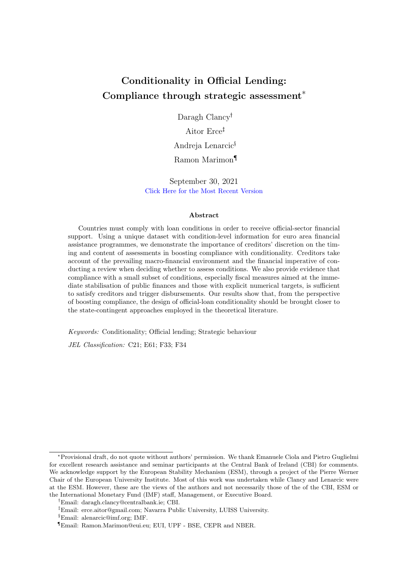# <span id="page-0-0"></span>Conditionality in Official Lending: Compliance through strategic assessment\*

Daragh Clancy<sup>†</sup>

Aitor Erce Andreja Lenarcic§

Ramon Marimon¶

September 30, 2021 [Click Here for the Most Recent Version](https://www.ramonmarimon.eu/AADRcond-last/)

#### Abstract

Countries must comply with loan conditions in order to receive official-sector financial support. Using a unique dataset with condition-level information for euro area financial assistance programmes, we demonstrate the importance of creditors' discretion on the timing and content of assessments in boosting compliance with conditionality. Creditors take account of the prevailing macro-financial environment and the financial imperative of conducting a review when deciding whether to assess conditions. We also provide evidence that compliance with a small subset of conditions, especially fiscal measures aimed at the immediate stabilisation of public finances and those with explicit numerical targets, is sufficient to satisfy creditors and trigger disbursements. Our results show that, from the perspective of boosting compliance, the design of official-loan conditionality should be brought closer to the state-contingent approaches employed in the theoretical literature.

Keywords: Conditionality; Official lending; Strategic behaviour

JEL Classification: C21; E61; F33; F34

<sup>\*</sup>Provisional draft, do not quote without authors' permission. We thank Emanuele Ciola and Pietro Guglielmi for excellent research assistance and seminar participants at the Central Bank of Ireland (CBI) for comments. We acknowledge support by the European Stability Mechanism (ESM), through a project of the Pierre Werner Chair of the European University Institute. Most of this work was undertaken while Clancy and Lenarcic were at the ESM. However, these are the views of the authors and not necessarily those of the of the CBI, ESM or the International Monetary Fund (IMF) staff, Management, or Executive Board.

Email: daragh.clancy@centralbank.ie; CBI.

Email: erce.aitor@gmail.com; Navarra Public University, LUISS University.

<sup>§</sup>Email: alenarcic@imf.org; IMF.

<sup>¶</sup>Email: Ramon.Marimon@eui.eu; EUI, UPF - BSE, CEPR and NBER.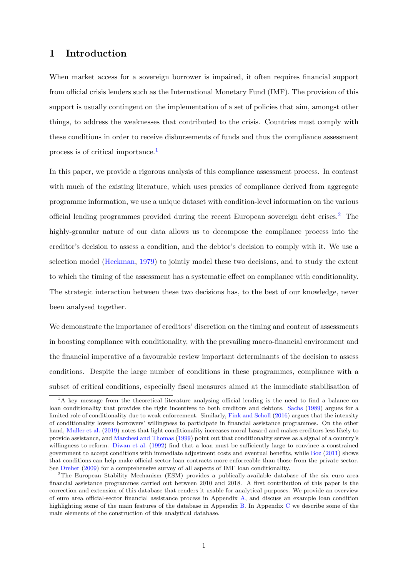## 1 Introduction

When market access for a sovereign borrower is impaired, it often requires financial support from official crisis lenders such as the International Monetary Fund (IMF). The provision of this support is usually contingent on the implementation of a set of policies that aim, amongst other things, to address the weaknesses that contributed to the crisis. Countries must comply with these conditions in order to receive disbursements of funds and thus the compliance assessment process is of critical importance.[1](#page-0-0)

In this paper, we provide a rigorous analysis of this compliance assessment process. In contrast with much of the existing literature, which uses proxies of compliance derived from aggregate programme information, we use a unique dataset with condition-level information on the various official lending programmes provided during the recent European sovereign debt crises.[2](#page-0-0) The highly-granular nature of our data allows us to decompose the compliance process into the creditor's decision to assess a condition, and the debtor's decision to comply with it. We use a selection model [\(Heckman,](#page-17-0) [1979\)](#page-17-0) to jointly model these two decisions, and to study the extent to which the timing of the assessment has a systematic effect on compliance with conditionality. The strategic interaction between these two decisions has, to the best of our knowledge, never been analysed together.

We demonstrate the importance of creditors' discretion on the timing and content of assessments in boosting compliance with conditionality, with the prevailing macro-financial environment and the financial imperative of a favourable review important determinants of the decision to assess conditions. Despite the large number of conditions in these programmes, compliance with a subset of critical conditions, especially fiscal measures aimed at the immediate stabilisation of

<sup>&</sup>lt;sup>1</sup>A key message from the theoretical literature analysing official lending is the need to find a balance on loan conditionality that provides the right incentives to both creditors and debtors. [Sachs](#page-18-0) [\(1989\)](#page-18-0) argues for a limited role of conditionality due to weak enforcement. Similarly, [Fink and Scholl](#page-17-1) [\(2016\)](#page-17-1) argues that the intensity of conditionality lowers borrowers' willingness to participate in financial assistance programmes. On the other hand, [Muller et al.](#page-18-1) [\(2019\)](#page-18-1) notes that light conditionality increases moral hazard and makes creditors less likely to provide assistance, and [Marchesi and Thomas](#page-18-2) [\(1999\)](#page-18-2) point out that conditionality serves as a signal of a country's willingness to reform. [Diwan et al.](#page-17-2) [\(1992\)](#page-17-2) find that a loan must be sufficiently large to convince a constrained government to accept conditions with immediate adjustment costs and eventual benefits, while [Boz](#page-16-0) [\(2011\)](#page-16-0) shows that conditions can help make official-sector loan contracts more enforceable than those from the private sector. See [Dreher](#page-17-3) [\(2009\)](#page-17-3) for a comprehensive survey of all aspects of IMF loan conditionality.

<sup>2</sup>The European Stability Mechanism (ESM) provides a publically-available database of the six euro area financial assistance programmes carried out between 2010 and 2018. A first contribution of this paper is the correction and extension of this database that renders it usable for analytical purposes. We provide an overview of euro area official-sector financial assistance process in Appendix [A,](#page-27-0) and discuss an example loan condition highlighting some of the main features of the database in Appendix [B.](#page-29-0) In Appendix [C](#page-33-0) we describe some of the main elements of the construction of this analytical database.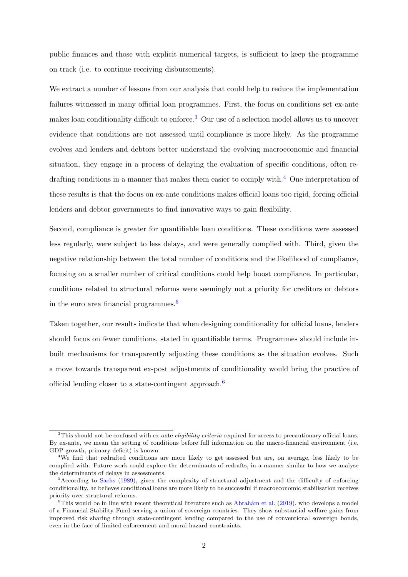public finances and those with explicit numerical targets, is sufficient to keep the programme on track (i.e. to continue receiving disbursements).

We extract a number of lessons from our analysis that could help to reduce the implementation failures witnessed in many official loan programmes. First, the focus on conditions set ex-ante makes loan conditionality difficult to enforce.[3](#page-0-0) Our use of a selection model allows us to uncover evidence that conditions are not assessed until compliance is more likely. As the programme evolves and lenders and debtors better understand the evolving macroeconomic and financial situation, they engage in a process of delaying the evaluation of specific conditions, often re-drafting conditions in a manner that makes them easier to comply with.<sup>[4](#page-0-0)</sup> One interpretation of these results is that the focus on ex-ante conditions makes official loans too rigid, forcing official lenders and debtor governments to find innovative ways to gain flexibility.

Second, compliance is greater for quantifiable loan conditions. These conditions were assessed less regularly, were subject to less delays, and were generally complied with. Third, given the negative relationship between the total number of conditions and the likelihood of compliance, focusing on a smaller number of critical conditions could help boost compliance. In particular, conditions related to structural reforms were seemingly not a priority for creditors or debtors in the euro area financial programmes.[5](#page-0-0)

Taken together, our results indicate that when designing conditionality for official loans, lenders should focus on fewer conditions, stated in quantifiable terms. Programmes should include inbuilt mechanisms for transparently adjusting these conditions as the situation evolves. Such a move towards transparent ex-post adjustments of conditionality would bring the practice of official lending closer to a state-contingent approach.[6](#page-0-0)

 $3$ This should not be confused with ex-ante *eligibility criteria* required for access to precautionary official loans. By ex-ante, we mean the setting of conditions before full information on the macro-financial environment (i.e. GDP growth, primary deficit) is known.

<sup>4</sup>We find that redrafted conditions are more likely to get assessed but are, on average, less likely to be complied with. Future work could explore the determinants of redrafts, in a manner similar to how we analyse the determinants of delays in assessments.

<sup>5</sup>According to [Sachs](#page-18-0) [\(1989\)](#page-18-0), given the complexity of structural adjustment and the difficulty of enforcing conditionality, he believes conditional loans are more likely to be successful if macroeconomic stabilisation receives priority over structural reforms.

 $6$ This would be in line with recent theoretical literature such as Abrahám et al. [\(2019\)](#page-16-1), who develops a model of a Financial Stability Fund serving a union of sovereign countries. They show substantial welfare gains from improved risk sharing through state-contingent lending compared to the use of conventional sovereign bonds, even in the face of limited enforcement and moral hazard constraints.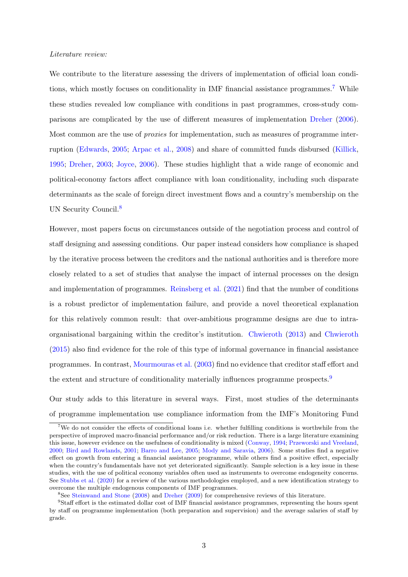### Literature review:

We contribute to the literature assessing the drivers of implementation of official loan conditions, which mostly focuses on conditionality in IMF financial assistance programmes.[7](#page-0-0) While these studies revealed low compliance with conditions in past programmes, cross-study comparisons are complicated by the use of different measures of implementation [Dreher](#page-17-4) [\(2006\)](#page-17-4). Most common are the use of proxies for implementation, such as measures of programme interruption [\(Edwards,](#page-17-5) [2005;](#page-17-5) [Arpac et al.,](#page-16-2) [2008\)](#page-16-2) and share of committed funds disbursed [\(Killick,](#page-18-3) [1995;](#page-18-3) [Dreher,](#page-17-6) [2003;](#page-17-6) [Joyce,](#page-18-4) [2006\)](#page-18-4). These studies highlight that a wide range of economic and political-economy factors affect compliance with loan conditionality, including such disparate determinants as the scale of foreign direct investment flows and a country's membership on the UN Security Council.<sup>[8](#page-0-0)</sup>

However, most papers focus on circumstances outside of the negotiation process and control of staff designing and assessing conditions. Our paper instead considers how compliance is shaped by the iterative process between the creditors and the national authorities and is therefore more closely related to a set of studies that analyse the impact of internal processes on the design and implementation of programmes. [Reinsberg et al.](#page-18-5) [\(2021\)](#page-18-5) find that the number of conditions is a robust predictor of implementation failure, and provide a novel theoretical explanation for this relatively common result: that over-ambitious programme designs are due to intraorganisational bargaining within the creditor's institution. [Chwieroth](#page-16-3) [\(2013\)](#page-16-3) and [Chwieroth](#page-16-4) [\(2015\)](#page-16-4) also find evidence for the role of this type of informal governance in financial assistance programmes. In contrast, [Mourmouras et al.](#page-18-6) [\(2003\)](#page-18-6) find no evidence that creditor staff effort and the extent and structure of conditionality materially influences programme prospects.<sup>[9](#page-0-0)</sup>

Our study adds to this literature in several ways. First, most studies of the determinants of programme implementation use compliance information from the IMF's Monitoring Fund

<sup>&</sup>lt;sup>7</sup>We do not consider the effects of conditional loans i.e. whether fulfilling conditions is worthwhile from the perspective of improved macro-financial performance and/or risk reduction. There is a large literature examining this issue, however evidence on the usefulness of conditionality is mixed [\(Conway,](#page-17-7) [1994;](#page-17-7) [Przeworski and Vreeland,](#page-18-7) [2000;](#page-18-7) [Bird and Rowlands,](#page-16-5) [2001;](#page-16-5) [Barro and Lee,](#page-16-6) [2005;](#page-16-6) [Mody and Saravia,](#page-18-8) [2006\)](#page-18-8). Some studies find a negative effect on growth from entering a financial assistance programme, while others find a positive effect, especially when the country's fundamentals have not yet deteriorated significantly. Sample selection is a key issue in these studies, with the use of political economy variables often used as instruments to overcome endogeneity concerns. See [Stubbs et al.](#page-19-0) [\(2020\)](#page-19-0) for a review of the various methodologies employed, and a new identification strategy to overcome the multiple endogenous components of IMF programmes.

<sup>8</sup>See [Steinwand and Stone](#page-18-9) [\(2008\)](#page-18-9) and [Dreher](#page-17-3) [\(2009\)](#page-17-3) for comprehensive reviews of this literature.

<sup>9</sup>Staff effort is the estimated dollar cost of IMF financial assistance programmes, representing the hours spent by staff on programme implementation (both preparation and supervision) and the average salaries of staff by grade.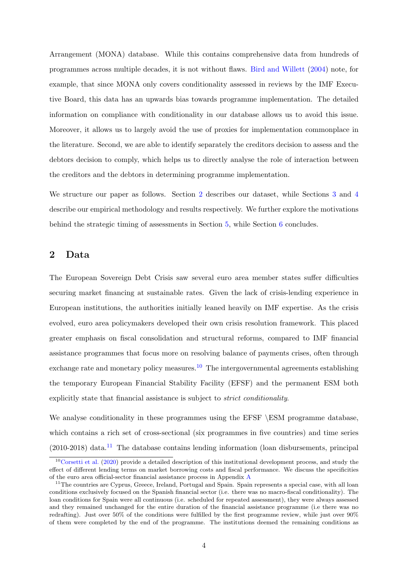Arrangement (MONA) database. While this contains comprehensive data from hundreds of programmes across multiple decades, it is not without flaws. [Bird and Willett](#page-16-7) [\(2004\)](#page-16-7) note, for example, that since MONA only covers conditionality assessed in reviews by the IMF Executive Board, this data has an upwards bias towards programme implementation. The detailed information on compliance with conditionality in our database allows us to avoid this issue. Moreover, it allows us to largely avoid the use of proxies for implementation commonplace in the literature. Second, we are able to identify separately the creditors decision to assess and the debtors decision to comply, which helps us to directly analyse the role of interaction between the creditors and the debtors in determining programme implementation.

We structure our paper as follows. Section [2](#page-4-0) describes our dataset, while Sections [3](#page-7-0) and [4](#page-11-0) describe our empirical methodology and results respectively. We further explore the motivations behind the strategic timing of assessments in Section [5,](#page-13-0) while Section [6](#page-14-0) concludes.

# <span id="page-4-0"></span>2 Data

The European Sovereign Debt Crisis saw several euro area member states suffer difficulties securing market financing at sustainable rates. Given the lack of crisis-lending experience in European institutions, the authorities initially leaned heavily on IMF expertise. As the crisis evolved, euro area policymakers developed their own crisis resolution framework. This placed greater emphasis on fiscal consolidation and structural reforms, compared to IMF financial assistance programmes that focus more on resolving balance of payments crises, often through exchange rate and monetary policy measures.<sup>[10](#page-0-0)</sup> The intergovernmental agreements establishing the temporary European Financial Stability Facility (EFSF) and the permanent ESM both explicitly state that financial assistance is subject to strict conditionality.

We analyse conditionality in these programmes using the EFSF \ESM programme database, which contains a rich set of cross-sectional (six programmes in five countries) and time series  $(2010-2018)$  data.<sup>[11](#page-0-0)</sup> The database contains lending information (loan disbursements, principal

 $10$ [Corsetti et al.](#page-17-8) [\(2020\)](#page-17-8) provide a detailed description of this institutional development process, and study the effect of different lending terms on market borrowing costs and fiscal performance. We discuss the specificities of the euro area official-sector financial assistance process in Appendix [A](#page-27-0)

<sup>&</sup>lt;sup>11</sup>The countries are Cyprus, Greece, Ireland, Portugal and Spain. Spain represents a special case, with all loan conditions exclusively focused on the Spanish financial sector (i.e. there was no macro-fiscal conditionality). The loan conditions for Spain were all continuous (i.e. scheduled for repeated assessment), they were always assessed and they remained unchanged for the entire duration of the financial assistance programme (i.e there was no redrafting). Just over 50% of the conditions were fulfilled by the first programme review, while just over 90% of them were completed by the end of the programme. The institutions deemed the remaining conditions as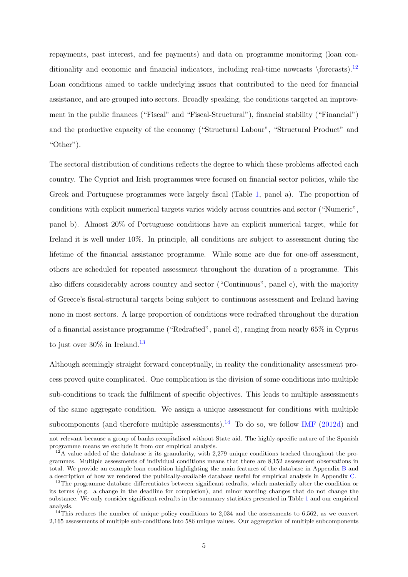repayments, past interest, and fee payments) and data on programme monitoring (loan conditionality and economic and financial indicators, including real-time nowcasts  $\frac{\cosh 12}{\cosh 12}$  $\frac{\cosh 12}{\cosh 12}$  $\frac{\cosh 12}{\cosh 12}$ Loan conditions aimed to tackle underlying issues that contributed to the need for financial assistance, and are grouped into sectors. Broadly speaking, the conditions targeted an improvement in the public finances ("Fiscal" and "Fiscal-Structural"), financial stability ("Financial") and the productive capacity of the economy ("Structural Labour", "Structural Product" and "Other").

The sectoral distribution of conditions reflects the degree to which these problems affected each country. The Cypriot and Irish programmes were focused on financial sector policies, while the Greek and Portuguese programmes were largely fiscal (Table [1,](#page-20-0) panel a). The proportion of conditions with explicit numerical targets varies widely across countries and sector ("Numeric", panel b). Almost 20% of Portuguese conditions have an explicit numerical target, while for Ireland it is well under 10%. In principle, all conditions are subject to assessment during the lifetime of the financial assistance programme. While some are due for one-off assessment, others are scheduled for repeated assessment throughout the duration of a programme. This also differs considerably across country and sector ("Continuous", panel c), with the majority of Greece's fiscal-structural targets being subject to continuous assessment and Ireland having none in most sectors. A large proportion of conditions were redrafted throughout the duration of a financial assistance programme ("Redrafted", panel d), ranging from nearly 65% in Cyprus to just over  $30\%$  in Ireland.<sup>[13](#page-0-0)</sup>

Although seemingly straight forward conceptually, in reality the conditionality assessment process proved quite complicated. One complication is the division of some conditions into multiple sub-conditions to track the fulfilment of specific objectives. This leads to multiple assessments of the same aggregate condition. We assign a unique assessment for conditions with multiple subcomponents (and therefore multiple assessments).<sup>[14](#page-0-0)</sup> To do so, we follow [IMF](#page-17-9) [\(2012d\)](#page-17-9) and

not relevant because a group of banks recapitalised without State aid. The highly-specific nature of the Spanish programme means we exclude it from our empirical analysis.

 $12A$  value added of the database is its granularity, with 2,279 unique conditions tracked throughout the programmes. Multiple assessments of individual conditions means that there are 8,152 assessment observations in total. We provide an example loan condition highlighting the main features of the database in Appendix [B](#page-29-0) and a description of how we rendered the publically-available database useful for empirical analysis in Appendix [C.](#page-33-0)

<sup>&</sup>lt;sup>13</sup>The programme database differentiates between significant redrafts, which materially alter the condition or its terms (e.g. a change in the deadline for completion), and minor wording changes that do not change the substance. We only consider significant redrafts in the summary statistics presented in Table [1](#page-20-0) and our empirical analysis.

<sup>&</sup>lt;sup>14</sup>This reduces the number of unique policy conditions to 2,034 and the assessments to 6,562, as we convert 2,165 assessments of multiple sub-conditions into 586 unique values. Our aggregation of multiple subcomponents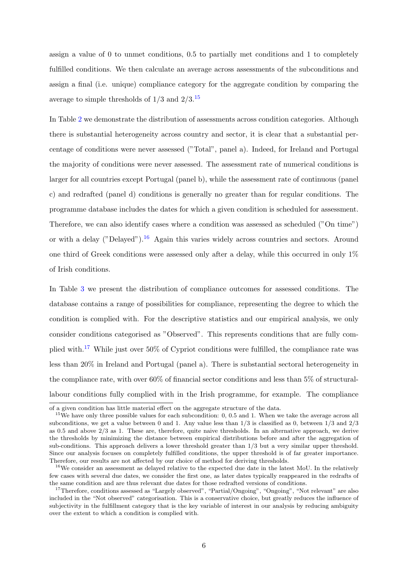assign a value of 0 to unmet conditions, 0.5 to partially met conditions and 1 to completely fulfilled conditions. We then calculate an average across assessments of the subconditions and assign a final (i.e. unique) compliance category for the aggregate condition by comparing the average to simple thresholds of  $1/3$  and  $2/3$ .<sup>[15](#page-0-0)</sup>

In Table [2](#page-21-0) we demonstrate the distribution of assessments across condition categories. Although there is substantial heterogeneity across country and sector, it is clear that a substantial percentage of conditions were never assessed ("Total", panel a). Indeed, for Ireland and Portugal the majority of conditions were never assessed. The assessment rate of numerical conditions is larger for all countries except Portugal (panel b), while the assessment rate of continuous (panel c) and redrafted (panel d) conditions is generally no greater than for regular conditions. The programme database includes the dates for which a given condition is scheduled for assessment. Therefore, we can also identify cases where a condition was assessed as scheduled ("On time") or with a delay ("Delayed").[16](#page-0-0) Again this varies widely across countries and sectors. Around one third of Greek conditions were assessed only after a delay, while this occurred in only  $1\%$ of Irish conditions.

In Table [3](#page-22-0) we present the distribution of compliance outcomes for assessed conditions. The database contains a range of possibilities for compliance, representing the degree to which the condition is complied with. For the descriptive statistics and our empirical analysis, we only consider conditions categorised as "Observed". This represents conditions that are fully com-plied with.<sup>[17](#page-0-0)</sup> While just over 50% of Cypriot conditions were fulfilled, the compliance rate was less than 20% in Ireland and Portugal (panel a). There is substantial sectoral heterogeneity in the compliance rate, with over 60% of financial sector conditions and less than 5% of structurallabour conditions fully complied with in the Irish programme, for example. The compliance

of a given condition has little material effect on the aggregate structure of the data.

<sup>&</sup>lt;sup>15</sup>We have only three possible values for each subcondition: 0, 0.5 and 1. When we take the average across all subconditions, we get a value between 0 and 1. Any value less than 1/3 is classified as 0, between 1/3 and 2/3 as 0.5 and above 2/3 as 1. These are, therefore, quite naive thresholds. In an alternative approach, we derive the thresholds by minimizing the distance between empirical distributions before and after the aggregation of sub-conditions. This approach delivers a lower threshold greater than 1/3 but a very similar upper threshold. Since our analysis focuses on completely fulfilled conditions, the upper threshold is of far greater importance. Therefore, our results are not affected by our choice of method for deriving thresholds.

<sup>&</sup>lt;sup>16</sup>We consider an assessment as delayed relative to the expected due date in the latest MoU. In the relatively few cases with several due dates, we consider the first one, as later dates typically reappeared in the redrafts of the same condition and are thus relevant due dates for those redrafted versions of conditions.

<sup>&</sup>lt;sup>17</sup>Therefore, conditions assessed as "Largely observed", "Partial/Ongoing", "Ongoing", "Not relevant" are also included in the "Not observed" categorisation. This is a conservative choice, but greatly reduces the influence of subjectivity in the fulfillment category that is the key variable of interest in our analysis by reducing ambiguity over the extent to which a condition is complied with.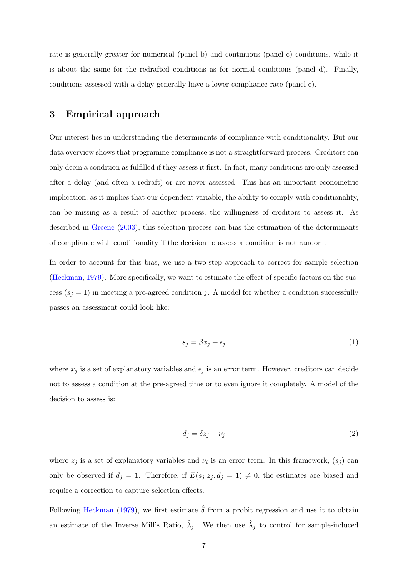rate is generally greater for numerical (panel b) and continuous (panel c) conditions, while it is about the same for the redrafted conditions as for normal conditions (panel d). Finally, conditions assessed with a delay generally have a lower compliance rate (panel e).

# <span id="page-7-0"></span>3 Empirical approach

Our interest lies in understanding the determinants of compliance with conditionality. But our data overview shows that programme compliance is not a straightforward process. Creditors can only deem a condition as fulfilled if they assess it first. In fact, many conditions are only assessed after a delay (and often a redraft) or are never assessed. This has an important econometric implication, as it implies that our dependent variable, the ability to comply with conditionality, can be missing as a result of another process, the willingness of creditors to assess it. As described in [Greene](#page-17-10) [\(2003\)](#page-17-10), this selection process can bias the estimation of the determinants of compliance with conditionality if the decision to assess a condition is not random.

In order to account for this bias, we use a two-step approach to correct for sample selection [\(Heckman,](#page-17-0) [1979\)](#page-17-0). More specifically, we want to estimate the effect of specific factors on the success ( $s_j = 1$ ) in meeting a pre-agreed condition j. A model for whether a condition successfully passes an assessment could look like:

$$
s_j = \beta x_j + \epsilon_j \tag{1}
$$

where  $x_j$  is a set of explanatory variables and  $\epsilon_j$  is an error term. However, creditors can decide not to assess a condition at the pre-agreed time or to even ignore it completely. A model of the decision to assess is:

<span id="page-7-1"></span>
$$
d_j = \delta z_j + \nu_j \tag{2}
$$

where  $z_j$  is a set of explanatory variables and  $\nu_i$  is an error term. In this framework,  $(s_j)$  can only be observed if  $d_j = 1$ . Therefore, if  $E(s_j | z_j, d_j = 1) \neq 0$ , the estimates are biased and require a correction to capture selection effects.

Following [Heckman](#page-17-0) [\(1979\)](#page-17-0), we first estimate  $\hat{\delta}$  from a probit regression and use it to obtain an estimate of the Inverse Mill's Ratio,  $\hat{\lambda}_j$ . We then use  $\hat{\lambda}_j$  to control for sample-induced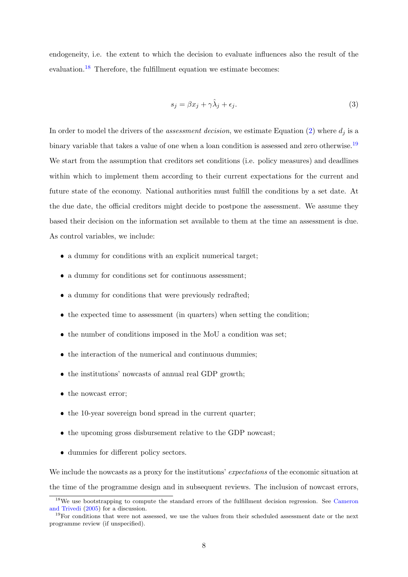endogeneity, i.e. the extent to which the decision to evaluate influences also the result of the evaluation.<sup>[18](#page-0-0)</sup> Therefore, the fulfillment equation we estimate becomes:

<span id="page-8-0"></span>
$$
s_j = \beta x_j + \gamma \hat{\lambda}_j + \epsilon_j. \tag{3}
$$

In order to model the drivers of the *assessment decision*, we estimate Equation [\(2\)](#page-7-1) where  $d_i$  is a binary variable that takes a value of one when a loan condition is assessed and zero otherwise.<sup>[19](#page-0-0)</sup> We start from the assumption that creditors set conditions (i.e. policy measures) and deadlines within which to implement them according to their current expectations for the current and future state of the economy. National authorities must fulfill the conditions by a set date. At the due date, the official creditors might decide to postpone the assessment. We assume they based their decision on the information set available to them at the time an assessment is due. As control variables, we include:

- a dummy for conditions with an explicit numerical target;
- a dummy for conditions set for continuous assessment;
- a dummy for conditions that were previously redrafted;
- the expected time to assessment (in quarters) when setting the condition;
- the number of conditions imposed in the MoU a condition was set;
- the interaction of the numerical and continuous dummies;
- the institutions' nowcasts of annual real GDP growth;
- the nowcast error;
- the 10-year sovereign bond spread in the current quarter;
- the upcoming gross disbursement relative to the GDP nowcast;
- dummies for different policy sectors.

We include the nowcasts as a proxy for the institutions' expectations of the economic situation at the time of the programme design and in subsequent reviews. The inclusion of nowcast errors,

<sup>&</sup>lt;sup>18</sup>We use bootstrapping to compute the standard errors of the fulfillment decision regression. See [Cameron](#page-16-8) [and Trivedi](#page-16-8) [\(2005\)](#page-16-8) for a discussion.

<sup>&</sup>lt;sup>19</sup>For conditions that were not assessed, we use the values from their scheduled assessment date or the next programme review (if unspecified).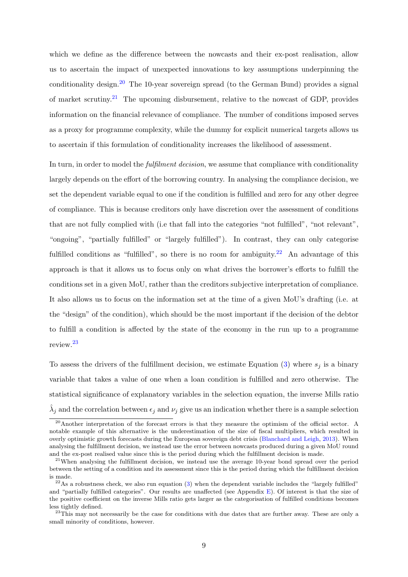which we define as the difference between the nowcasts and their ex-post realisation, allow us to ascertain the impact of unexpected innovations to key assumptions underpinning the conditionality design.[20](#page-0-0) The 10-year sovereign spread (to the German Bund) provides a signal of market scrutiny.<sup>[21](#page-0-0)</sup> The upcoming disbursement, relative to the nowcast of GDP, provides information on the financial relevance of compliance. The number of conditions imposed serves as a proxy for programme complexity, while the dummy for explicit numerical targets allows us to ascertain if this formulation of conditionality increases the likelihood of assessment.

In turn, in order to model the *fulfilment decision*, we assume that compliance with conditionality largely depends on the effort of the borrowing country. In analysing the compliance decision, we set the dependent variable equal to one if the condition is fulfilled and zero for any other degree of compliance. This is because creditors only have discretion over the assessment of conditions that are not fully complied with (i.e that fall into the categories "not fulfilled", "not relevant", "ongoing", "partially fulfilled" or "largely fulfilled"). In contrast, they can only categorise fulfilled conditions as "fulfilled", so there is no room for ambiguity.<sup>[22](#page-0-0)</sup> An advantage of this approach is that it allows us to focus only on what drives the borrower's efforts to fulfill the conditions set in a given MoU, rather than the creditors subjective interpretation of compliance. It also allows us to focus on the information set at the time of a given MoU's drafting (i.e. at the "design" of the condition), which should be the most important if the decision of the debtor to fulfill a condition is affected by the state of the economy in the run up to a programme review.[23](#page-0-0)

To assess the drivers of the fulfillment decision, we estimate Equation [\(3\)](#page-8-0) where  $s_i$  is a binary variable that takes a value of one when a loan condition is fulfilled and zero otherwise. The statistical significance of explanatory variables in the selection equation, the inverse Mills ratio  $\hat{\lambda}_j$  and the correlation between  $\epsilon_j$  and  $\nu_j$  give us an indication whether there is a sample selection

<sup>&</sup>lt;sup>20</sup>Another interpretation of the forecast errors is that they measure the optimism of the official sector. A notable example of this alternative is the underestimation of the size of fiscal multipliers, which resulted in overly optimistic growth forecasts during the European sovereign debt crisis [\(Blanchard and Leigh,](#page-16-9) [2013\)](#page-16-9). When analysing the fulfillment decision, we instead use the error between nowcasts produced during a given MoU round and the ex-post realised value since this is the period during which the fulfillment decision is made.

<sup>&</sup>lt;sup>21</sup>When analysing the fulfillment decision, we instead use the average 10-year bond spread over the period between the setting of a condition and its assessment since this is the period during which the fulfillment decision is made.

 $22\text{As a robustness check, we also run equation (3) when the dependent variable includes the "largely fulfilled" }$  $22\text{As a robustness check, we also run equation (3) when the dependent variable includes the "largely fulfilled" }$  $22\text{As a robustness check, we also run equation (3) when the dependent variable includes the "largely fulfilled" }$ and "partially fulfilled categories". Our results are unaffected (see Appendix [E\)](#page-38-0). Of interest is that the size of the positive coefficient on the inverse Mills ratio gets larger as the categorisation of fulfilled conditions becomes less tightly defined.

<sup>&</sup>lt;sup>23</sup>This may not necessarily be the case for conditions with due dates that are further away. These are only a small minority of conditions, however.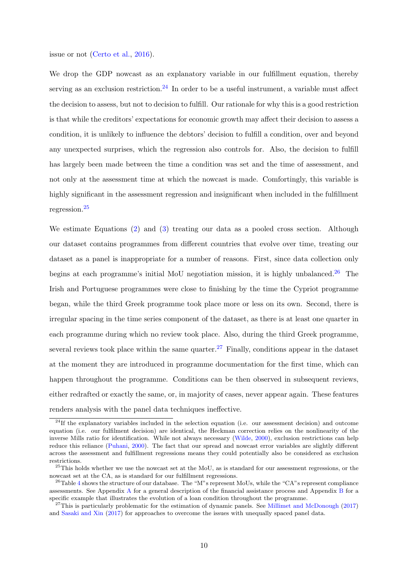issue or not [\(Certo et al.,](#page-16-10) [2016\)](#page-16-10).

We drop the GDP nowcast as an explanatory variable in our fulfillment equation, thereby serving as an exclusion restriction.<sup>[24](#page-0-0)</sup> In order to be a useful instrument, a variable must affect the decision to assess, but not to decision to fulfill. Our rationale for why this is a good restriction is that while the creditors' expectations for economic growth may affect their decision to assess a condition, it is unlikely to influence the debtors' decision to fulfill a condition, over and beyond any unexpected surprises, which the regression also controls for. Also, the decision to fulfill has largely been made between the time a condition was set and the time of assessment, and not only at the assessment time at which the nowcast is made. Comfortingly, this variable is highly significant in the assessment regression and insignificant when included in the fulfillment regression.[25](#page-0-0)

We estimate Equations [\(2\)](#page-7-1) and [\(3\)](#page-8-0) treating our data as a pooled cross section. Although our dataset contains programmes from different countries that evolve over time, treating our dataset as a panel is inappropriate for a number of reasons. First, since data collection only begins at each programme's initial MoU negotiation mission, it is highly unbalanced.<sup>[26](#page-0-0)</sup> The Irish and Portuguese programmes were close to finishing by the time the Cypriot programme began, while the third Greek programme took place more or less on its own. Second, there is irregular spacing in the time series component of the dataset, as there is at least one quarter in each programme during which no review took place. Also, during the third Greek programme, several reviews took place within the same quarter.<sup>[27](#page-0-0)</sup> Finally, conditions appear in the dataset at the moment they are introduced in programme documentation for the first time, which can happen throughout the programme. Conditions can be then observed in subsequent reviews, either redrafted or exactly the same, or, in majority of cases, never appear again. These features renders analysis with the panel data techniques ineffective.

 $^{24}$ If the explanatory variables included in the selection equation (i.e. our assessment decision) and outcome equation (i.e. our fulfilment decision) are identical, the Heckman correction relies on the nonlinearity of the inverse Mills ratio for identification. While not always necessary [\(Wilde,](#page-19-1) [2000\)](#page-19-1), exclusion restrictions can help reduce this reliance [\(Puhani,](#page-18-10) [2000\)](#page-18-10). The fact that our spread and nowcast error variables are slightly different across the assessment and fulfillment regressions means they could potentially also be considered as exclusion restrictions.

<sup>&</sup>lt;sup>25</sup>This holds whether we use the nowcast set at the MoU, as is standard for our assessment regressions, or the nowcast set at the CA, as is standard for our fulfillment regressions.

<sup>&</sup>lt;sup>26</sup>Table [4](#page-23-0) shows the structure of our database. The "M"s represent MoUs, while the "CA"s represent compliance assessments. See Appendix [A](#page-27-0) for a general description of the financial assistance process and Appendix [B](#page-29-0) for a specific example that illustrates the evolution of a loan condition throughout the programme.

<sup>&</sup>lt;sup>27</sup>This is particularly problematic for the estimation of dynamic panels. See [Millimet and McDonough](#page-18-11) [\(2017\)](#page-18-11) and [Sasaki and Xin](#page-18-12) [\(2017\)](#page-18-12) for approaches to overcome the issues with unequally spaced panel data.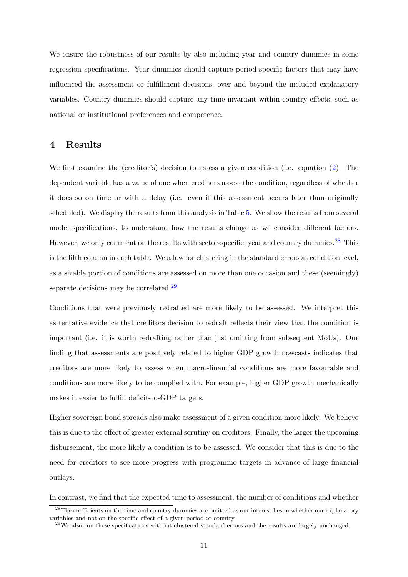We ensure the robustness of our results by also including year and country dummies in some regression specifications. Year dummies should capture period-specific factors that may have influenced the assessment or fulfillment decisions, over and beyond the included explanatory variables. Country dummies should capture any time-invariant within-country effects, such as national or institutional preferences and competence.

# <span id="page-11-0"></span>4 Results

We first examine the (creditor's) decision to assess a given condition (i.e. equation [\(2\)](#page-7-1). The dependent variable has a value of one when creditors assess the condition, regardless of whether it does so on time or with a delay (i.e. even if this assessment occurs later than originally scheduled). We display the results from this analysis in Table [5.](#page-24-0) We show the results from several model specifications, to understand how the results change as we consider different factors. However, we only comment on the results with sector-specific, year and country dummies.<sup>[28](#page-0-0)</sup> This is the fifth column in each table. We allow for clustering in the standard errors at condition level, as a sizable portion of conditions are assessed on more than one occasion and these (seemingly) separate decisions may be correlated.<sup>[29](#page-0-0)</sup>

Conditions that were previously redrafted are more likely to be assessed. We interpret this as tentative evidence that creditors decision to redraft reflects their view that the condition is important (i.e. it is worth redrafting rather than just omitting from subsequent MoUs). Our finding that assessments are positively related to higher GDP growth nowcasts indicates that creditors are more likely to assess when macro-financial conditions are more favourable and conditions are more likely to be complied with. For example, higher GDP growth mechanically makes it easier to fulfill deficit-to-GDP targets.

Higher sovereign bond spreads also make assessment of a given condition more likely. We believe this is due to the effect of greater external scrutiny on creditors. Finally, the larger the upcoming disbursement, the more likely a condition is to be assessed. We consider that this is due to the need for creditors to see more progress with programme targets in advance of large financial outlays.

In contrast, we find that the expected time to assessment, the number of conditions and whether

<sup>&</sup>lt;sup>28</sup>The coefficients on the time and country dummies are omitted as our interest lies in whether our explanatory variables and not on the specific effect of a given period or country.

<sup>&</sup>lt;sup>29</sup>We also run these specifications without clustered standard errors and the results are largely unchanged.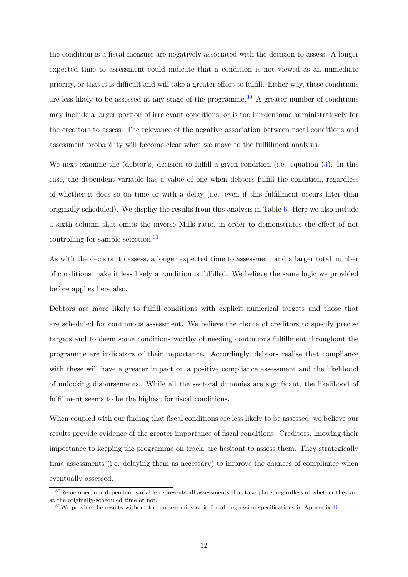the condition is a fiscal measure are negatively associated with the decision to assess. A longer expected time to assessment could indicate that a condition is not viewed as an immediate priority, or that it is difficult and will take a greater effort to fulfill. Either way, these conditions are less likely to be assessed at any stage of the programme.<sup>[30](#page-0-0)</sup> A greater number of conditions may include a larger portion of irrelevant conditions, or is too burdensome administratively for the creditors to assess. The relevance of the negative association between fiscal conditions and assessment probability will become clear when we move to the fulfillment analysis.

We next examine the (debtor's) decision to fulfill a given condition (i.e. equation [\(3\)](#page-8-0). In this case, the dependent variable has a value of one when debtors fulfill the condition, regardless of whether it does so on time or with a delay (i.e. even if this fulfillment occurs later than originally scheduled). We display the results from this analysis in Table [6.](#page-25-0) Here we also include a sixth column that omits the inverse Mills ratio, in order to demonstrates the effect of not controlling for sample selection.[31](#page-0-0)

As with the decision to assess, a longer expected time to assessment and a larger total number of conditions make it less likely a condition is fulfilled. We believe the same logic we provided before applies here also.

Debtors are more likely to fulfill conditions with explicit numerical targets and those that are scheduled for continuous assessment. We believe the choice of creditors to specify precise targets and to deem some conditions worthy of needing continuous fulfillment throughout the programme are indicators of their importance. Accordingly, debtors realise that compliance with these will have a greater impact on a positive compliance assessment and the likelihood of unlocking disbursements. While all the sectoral dummies are significant, the likelihood of fulfillment seems to be the highest for fiscal conditions.

When coupled with our finding that fiscal conditions are less likely to be assessed, we believe our results provide evidence of the greater importance of fiscal conditions. Creditors, knowing their importance to keeping the programme on track, are hesitant to assess them. They strategically time assessments (i.e. delaying them as necessary) to improve the chances of compliance when eventually assessed.

 $30$ Remember, our dependent variable represents all assessments that take place, regardless of whether they are at the originally-scheduled time or not.

 $31\,\text{We provide the results without the inverse mills ratio for all regression specifications in Appendix D.}$  $31\,\text{We provide the results without the inverse mills ratio for all regression specifications in Appendix D.}$  $31\,\text{We provide the results without the inverse mills ratio for all regression specifications in Appendix D.}$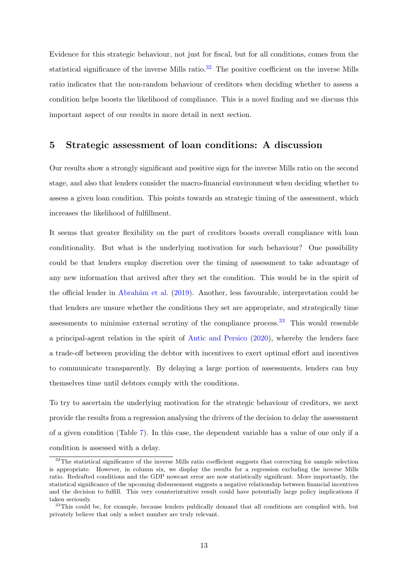Evidence for this strategic behaviour, not just for fiscal, but for all conditions, comes from the statistical significance of the inverse Mills ratio.<sup>[32](#page-0-0)</sup> The positive coefficient on the inverse Mills ratio indicates that the non-random behaviour of creditors when deciding whether to assess a condition helps boosts the likelihood of compliance. This is a novel finding and we discuss this important aspect of our results in more detail in next section.

## <span id="page-13-0"></span>5 Strategic assessment of loan conditions: A discussion

Our results show a strongly significant and positive sign for the inverse Mills ratio on the second stage, and also that lenders consider the macro-financial environment when deciding whether to assess a given loan condition. This points towards an strategic timing of the assessment, which increases the likelihood of fulfillment.

It seems that greater flexibility on the part of creditors boosts overall compliance with loan conditionality. But what is the underlying motivation for such behaviour? One possibility could be that lenders employ discretion over the timing of assessment to take advantage of any new information that arrived after they set the condition. This would be in the spirit of the official lender in [Abrah´am et al.](#page-16-1) [\(2019\)](#page-16-1). Another, less favourable, interpretation could be that lenders are unsure whether the conditions they set are appropriate, and strategically time assessments to minimise external scrutiny of the compliance process.<sup>[33](#page-0-0)</sup> This would resemble a principal-agent relation in the spirit of [Antic and Persico](#page-16-11) [\(2020\)](#page-16-11), whereby the lenders face a trade-off between providing the debtor with incentives to exert optimal effort and incentives to communicate transparently. By delaying a large portion of assessments, lenders can buy themselves time until debtors comply with the conditions.

To try to ascertain the underlying motivation for the strategic behaviour of creditors, we next provide the results from a regression analysing the drivers of the decision to delay the assessment of a given condition (Table [7\)](#page-26-0). In this case, the dependent variable has a value of one only if a condition is assessed with a delay.

<sup>&</sup>lt;sup>32</sup>The statistical significance of the inverse Mills ratio coefficient suggests that correcting for sample selection is appropriate. However, in column six, we display the results for a regression excluding the inverse Mills ratio. Redrafted conditions and the GDP nowcast error are now statistically significant. More importantly, the statistical significance of the upcoming disbursement suggests a negative relationship between financial incentives and the decision to fulfill. This very counterintuitive result could have potentially large policy implications if taken seriously.

<sup>&</sup>lt;sup>33</sup>This could be, for example, because lenders publically demand that all conditions are complied with, but privately believe that only a select number are truly relevant.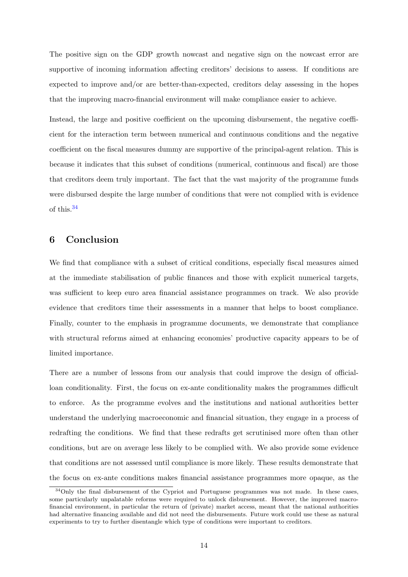The positive sign on the GDP growth nowcast and negative sign on the nowcast error are supportive of incoming information affecting creditors' decisions to assess. If conditions are expected to improve and/or are better-than-expected, creditors delay assessing in the hopes that the improving macro-financial environment will make compliance easier to achieve.

Instead, the large and positive coefficient on the upcoming disbursement, the negative coefficient for the interaction term between numerical and continuous conditions and the negative coefficient on the fiscal measures dummy are supportive of the principal-agent relation. This is because it indicates that this subset of conditions (numerical, continuous and fiscal) are those that creditors deem truly important. The fact that the vast majority of the programme funds were disbursed despite the large number of conditions that were not complied with is evidence of this.[34](#page-0-0)

# <span id="page-14-0"></span>6 Conclusion

We find that compliance with a subset of critical conditions, especially fiscal measures aimed at the immediate stabilisation of public finances and those with explicit numerical targets, was sufficient to keep euro area financial assistance programmes on track. We also provide evidence that creditors time their assessments in a manner that helps to boost compliance. Finally, counter to the emphasis in programme documents, we demonstrate that compliance with structural reforms aimed at enhancing economies' productive capacity appears to be of limited importance.

There are a number of lessons from our analysis that could improve the design of officialloan conditionality. First, the focus on ex-ante conditionality makes the programmes difficult to enforce. As the programme evolves and the institutions and national authorities better understand the underlying macroeconomic and financial situation, they engage in a process of redrafting the conditions. We find that these redrafts get scrutinised more often than other conditions, but are on average less likely to be complied with. We also provide some evidence that conditions are not assessed until compliance is more likely. These results demonstrate that the focus on ex-ante conditions makes financial assistance programmes more opaque, as the

<sup>&</sup>lt;sup>34</sup>Only the final disbursement of the Cypriot and Portuguese programmes was not made. In these cases, some particularly unpalatable reforms were required to unlock disbursement. However, the improved macrofinancial environment, in particular the return of (private) market access, meant that the national authorities had alternative financing available and did not need the disbursements. Future work could use these as natural experiments to try to further disentangle which type of conditions were important to creditors.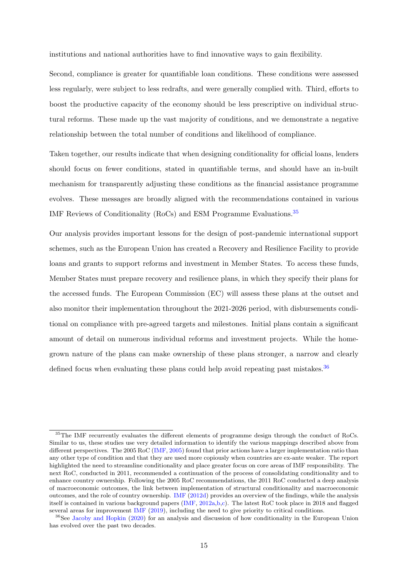institutions and national authorities have to find innovative ways to gain flexibility.

Second, compliance is greater for quantifiable loan conditions. These conditions were assessed less regularly, were subject to less redrafts, and were generally complied with. Third, efforts to boost the productive capacity of the economy should be less prescriptive on individual structural reforms. These made up the vast majority of conditions, and we demonstrate a negative relationship between the total number of conditions and likelihood of compliance.

Taken together, our results indicate that when designing conditionality for official loans, lenders should focus on fewer conditions, stated in quantifiable terms, and should have an in-built mechanism for transparently adjusting these conditions as the financial assistance programme evolves. These messages are broadly aligned with the recommendations contained in various IMF Reviews of Conditionality (RoCs) and ESM Programme Evaluations.[35](#page-0-0)

Our analysis provides important lessons for the design of post-pandemic international support schemes, such as the European Union has created a Recovery and Resilience Facility to provide loans and grants to support reforms and investment in Member States. To access these funds, Member States must prepare recovery and resilience plans, in which they specify their plans for the accessed funds. The European Commission (EC) will assess these plans at the outset and also monitor their implementation throughout the 2021-2026 period, with disbursements conditional on compliance with pre-agreed targets and milestones. Initial plans contain a significant amount of detail on numerous individual reforms and investment projects. While the homegrown nature of the plans can make ownership of these plans stronger, a narrow and clearly defined focus when evaluating these plans could help avoid repeating past mistakes.  $36$ 

<sup>35</sup>The IMF recurrently evaluates the different elements of programme design through the conduct of RoCs. Similar to us, these studies use very detailed information to identify the various mappings described above from different perspectives. The 2005 RoC [\(IMF,](#page-17-11) [2005\)](#page-17-11) found that prior actions have a larger implementation ratio than any other type of condition and that they are used more copiously when countries are ex-ante weaker. The report highlighted the need to streamline conditionality and place greater focus on core areas of IMF responsibility. The next RoC, conducted in 2011, recommended a continuation of the process of consolidating conditionality and to enhance country ownership. Following the 2005 RoC recommendations, the 2011 RoC conducted a deep analysis of macroeconomic outcomes, the link between implementation of structural conditionality and macroeconomic outcomes, and the role of country ownership. [IMF](#page-17-9) [\(2012d\)](#page-17-9) provides an overview of the findings, while the analysis itself is contained in various background papers [\(IMF,](#page-17-12) [2012a,](#page-17-12)[b](#page-17-13)[,c\)](#page-17-14). The latest RoC took place in 2018 and flagged several areas for improvement [IMF](#page-17-15) [\(2019\)](#page-17-15), including the need to give priority to critical conditions.

<sup>&</sup>lt;sup>36</sup>See [Jacoby and Hopkin](#page-17-16) [\(2020\)](#page-17-16) for an analysis and discussion of how conditionality in the European Union has evolved over the past two decades.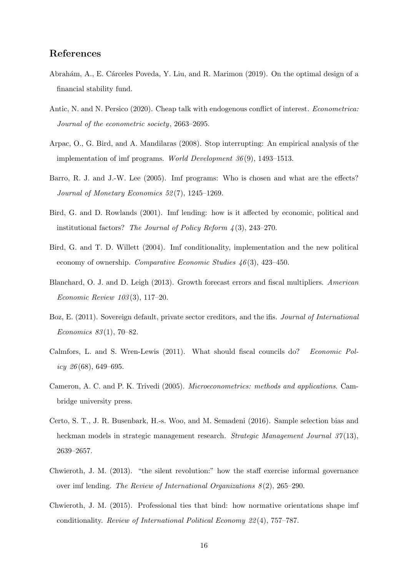# References

- <span id="page-16-1"></span>Abrahám, A., E. Cárceles Poveda, Y. Liu, and R. Marimon (2019). On the optimal design of a financial stability fund.
- <span id="page-16-11"></span>Antic, N. and N. Persico (2020). Cheap talk with endogenous conflict of interest. Econometrica: Journal of the econometric society, 2663–2695.
- <span id="page-16-2"></span>Arpac, O., G. Bird, and A. Mandilaras (2008). Stop interrupting: An empirical analysis of the implementation of imf programs. World Development  $36(9)$ , 1493–1513.
- <span id="page-16-6"></span>Barro, R. J. and J.-W. Lee (2005). Imf programs: Who is chosen and what are the effects? Journal of Monetary Economics 52 (7), 1245–1269.
- <span id="page-16-5"></span>Bird, G. and D. Rowlands (2001). Imf lending: how is it affected by economic, political and institutional factors? The Journal of Policy Reform  $\lambda(3)$ , 243–270.
- <span id="page-16-7"></span>Bird, G. and T. D. Willett (2004). Imf conditionality, implementation and the new political economy of ownership. Comparative Economic Studies  $46(3)$ , 423-450.
- <span id="page-16-9"></span>Blanchard, O. J. and D. Leigh (2013). Growth forecast errors and fiscal multipliers. American Economic Review 103 (3), 117–20.
- <span id="page-16-0"></span>Boz, E. (2011). Sovereign default, private sector creditors, and the ifis. *Journal of International* Economics 83 (1), 70–82.
- <span id="page-16-12"></span>Calmfors, L. and S. Wren-Lewis (2011). What should fiscal councils do? Economic Policy  $26(68)$ , 649–695.
- <span id="page-16-8"></span>Cameron, A. C. and P. K. Trivedi (2005). Microeconometrics: methods and applications. Cambridge university press.
- <span id="page-16-10"></span>Certo, S. T., J. R. Busenbark, H.-s. Woo, and M. Semadeni (2016). Sample selection bias and heckman models in strategic management research. Strategic Management Journal 37(13), 2639–2657.
- <span id="page-16-3"></span>Chwieroth, J. M. (2013). "the silent revolution:" how the staff exercise informal governance over imf lending. The Review of International Organizations  $8(2)$ , 265–290.
- <span id="page-16-4"></span>Chwieroth, J. M. (2015). Professional ties that bind: how normative orientations shape imf conditionality. Review of International Political Economy 22 (4), 757–787.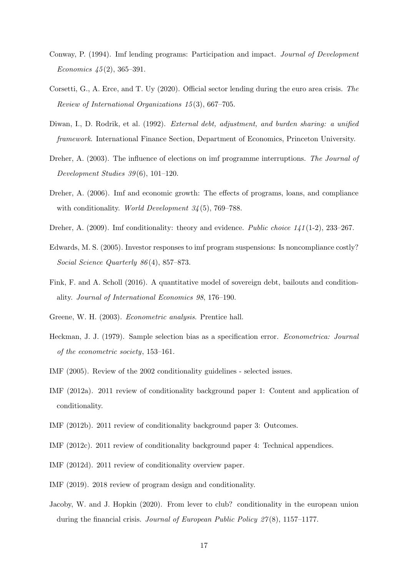- <span id="page-17-7"></span>Conway, P. (1994). Imf lending programs: Participation and impact. Journal of Development Economics  $45(2)$ , 365–391.
- <span id="page-17-8"></span>Corsetti, G., A. Erce, and T. Uy (2020). Official sector lending during the euro area crisis. The Review of International Organizations 15 (3), 667–705.
- <span id="page-17-2"></span>Diwan, I., D. Rodrik, et al. (1992). External debt, adjustment, and burden sharing: a unified framework. International Finance Section, Department of Economics, Princeton University.
- <span id="page-17-6"></span>Dreher, A. (2003). The influence of elections on imf programme interruptions. The Journal of Development Studies 39 (6), 101–120.
- <span id="page-17-4"></span>Dreher, A. (2006). Imf and economic growth: The effects of programs, loans, and compliance with conditionality. World Development  $34(5)$ , 769–788.
- <span id="page-17-3"></span>Dreher, A. (2009). Imf conditionality: theory and evidence. Public choice  $1/41(1-2)$ , 233-267.
- <span id="page-17-5"></span>Edwards, M. S. (2005). Investor responses to imf program suspensions: Is noncompliance costly? Social Science Quarterly 86 (4), 857–873.
- <span id="page-17-1"></span>Fink, F. and A. Scholl (2016). A quantitative model of sovereign debt, bailouts and conditionality. Journal of International Economics 98, 176–190.
- <span id="page-17-10"></span>Greene, W. H. (2003). Econometric analysis. Prentice hall.
- <span id="page-17-0"></span>Heckman, J. J. (1979). Sample selection bias as a specification error. Econometrica: Journal of the econometric society, 153–161.
- <span id="page-17-11"></span>IMF (2005). Review of the 2002 conditionality guidelines - selected issues.
- <span id="page-17-12"></span>IMF (2012a). 2011 review of conditionality background paper 1: Content and application of conditionality.
- <span id="page-17-13"></span>IMF (2012b). 2011 review of conditionality background paper 3: Outcomes.
- <span id="page-17-14"></span>IMF (2012c). 2011 review of conditionality background paper 4: Technical appendices.
- <span id="page-17-9"></span>IMF (2012d). 2011 review of conditionality overview paper.
- <span id="page-17-15"></span>IMF (2019). 2018 review of program design and conditionality.
- <span id="page-17-16"></span>Jacoby, W. and J. Hopkin (2020). From lever to club? conditionality in the european union during the financial crisis. Journal of European Public Policy 27 (8), 1157–1177.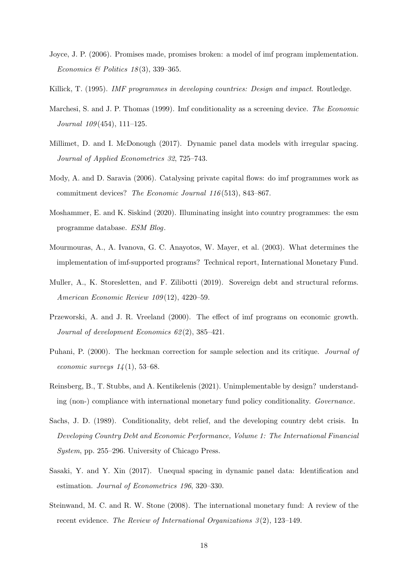- <span id="page-18-4"></span>Joyce, J. P. (2006). Promises made, promises broken: a model of imf program implementation. Economics & Politics  $18(3)$ , 339-365.
- <span id="page-18-3"></span><span id="page-18-2"></span>Killick, T. (1995). *IMF programmes in developing countries: Design and impact.* Routledge.
- Marchesi, S. and J. P. Thomas (1999). Imf conditionality as a screening device. The Economic Journal 109 (454), 111–125.
- <span id="page-18-11"></span>Millimet, D. and I. McDonough (2017). Dynamic panel data models with irregular spacing. Journal of Applied Econometrics 32, 725–743.
- <span id="page-18-8"></span>Mody, A. and D. Saravia (2006). Catalysing private capital flows: do imf programmes work as commitment devices? The Economic Journal 116 (513), 843–867.
- <span id="page-18-13"></span>Moshammer, E. and K. Siskind (2020). Illuminating insight into country programmes: the esm programme database. ESM Blog.
- <span id="page-18-6"></span>Mourmouras, A., A. Ivanova, G. C. Anayotos, W. Mayer, et al. (2003). What determines the implementation of imf-supported programs? Technical report, International Monetary Fund.
- <span id="page-18-1"></span>Muller, A., K. Storesletten, and F. Zilibotti (2019). Sovereign debt and structural reforms. American Economic Review 109 (12), 4220–59.
- <span id="page-18-7"></span>Przeworski, A. and J. R. Vreeland (2000). The effect of imf programs on economic growth. Journal of development Economics 62 (2), 385–421.
- <span id="page-18-10"></span>Puhani, P. (2000). The heckman correction for sample selection and its critique. Journal of economic surveys  $14(1)$ , 53–68.
- <span id="page-18-5"></span>Reinsberg, B., T. Stubbs, and A. Kentikelenis (2021). Unimplementable by design? understanding (non-) compliance with international monetary fund policy conditionality. Governance.
- <span id="page-18-0"></span>Sachs, J. D. (1989). Conditionality, debt relief, and the developing country debt crisis. In Developing Country Debt and Economic Performance, Volume 1: The International Financial System, pp. 255–296. University of Chicago Press.
- <span id="page-18-12"></span>Sasaki, Y. and Y. Xin (2017). Unequal spacing in dynamic panel data: Identification and estimation. Journal of Econometrics 196, 320–330.
- <span id="page-18-9"></span>Steinwand, M. C. and R. W. Stone (2008). The international monetary fund: A review of the recent evidence. The Review of International Organizations  $3(2)$ , 123–149.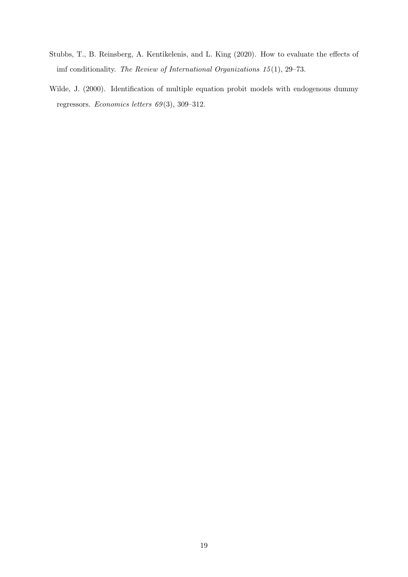- <span id="page-19-0"></span>Stubbs, T., B. Reinsberg, A. Kentikelenis, and L. King (2020). How to evaluate the effects of imf conditionality. The Review of International Organizations 15 (1), 29–73.
- <span id="page-19-1"></span>Wilde, J. (2000). Identification of multiple equation probit models with endogenous dummy regressors. Economics letters 69 (3), 309–312.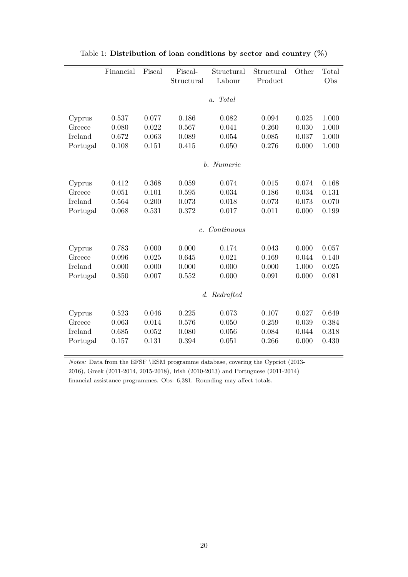<span id="page-20-0"></span>

|          | Financial | Fiscal | Fiscal-<br>Structural |              | Structural | Other | Total |
|----------|-----------|--------|-----------------------|--------------|------------|-------|-------|
|          |           |        | Structural            | Labour       | Product    |       | Obs   |
|          |           |        |                       | a. Total     |            |       |       |
|          |           |        |                       |              |            |       |       |
| Cyprus   | 0.537     | 0.077  | 0.186                 | 0.082        | 0.094      | 0.025 | 1.000 |
| Greece   | 0.080     | 0.022  | 0.567                 | 0.041        | 0.260      | 0.030 | 1.000 |
| Ireland  | 0.672     | 0.063  | 0.089                 | 0.054        | 0.085      | 0.037 | 1.000 |
| Portugal | 0.108     | 0.151  | 0.415                 | 0.050        | 0.276      | 0.000 | 1.000 |
|          |           |        |                       | b. Numeric   |            |       |       |
| Cyprus   | 0.412     | 0.368  | 0.059                 | 0.074        | 0.015      | 0.074 | 0.168 |
| Greece   | 0.051     | 0.101  | 0.595                 | 0.034        | 0.186      | 0.034 | 0.131 |
| Ireland  | 0.564     | 0.200  | 0.073                 | 0.018        | 0.073      | 0.073 | 0.070 |
| Portugal | 0.068     | 0.531  | 0.372                 | 0.017        | 0.011      | 0.000 | 0.199 |
|          |           |        | $c_{\cdot}$           | Continuous   |            |       |       |
| Cyprus   | 0.783     | 0.000  | 0.000                 | 0.174        | 0.043      | 0.000 | 0.057 |
| Greece   | 0.096     | 0.025  | 0.645                 | 0.021        | 0.169      | 0.044 | 0.140 |
| Ireland  | 0.000     | 0.000  | 0.000                 | 0.000        | 0.000      | 1.000 | 0.025 |
| Portugal | 0.350     | 0.007  | 0.552                 | 0.000        | 0.091      | 0.000 | 0.081 |
|          |           |        |                       | d. Redrafted |            |       |       |
| Cyprus   | 0.523     | 0.046  | 0.225                 | 0.073        | 0.107      | 0.027 | 0.649 |
| Greece   | 0.063     | 0.014  | 0.576                 | 0.050        | 0.259      | 0.039 | 0.384 |
| Ireland  | 0.685     | 0.052  | 0.080                 | 0.056        | 0.084      | 0.044 | 0.318 |
| Portugal | 0.157     | 0.131  | 0.394                 | 0.051        | 0.266      | 0.000 | 0.430 |

Table 1: Distribution of loan conditions by sector and country (%)

Notes: Data from the EFSF \ESM programme database, covering the Cypriot (2013- 2016), Greek (2011-2014, 2015-2018), Irish (2010-2013) and Portuguese (2011-2014) financial assistance programmes. Obs: 6,381. Rounding may affect totals.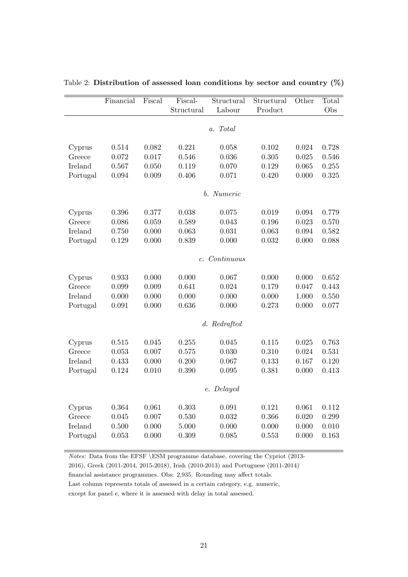|          | Financial | Fiscal | Fiscal-    | Structural    | Structural | Other | Total |
|----------|-----------|--------|------------|---------------|------------|-------|-------|
|          |           |        | Structural | Labour        | Product    |       | Obs   |
|          |           |        |            | a. Total      |            |       |       |
|          |           |        |            |               |            |       |       |
| Cyprus   | 0.514     | 0.082  | 0.221      | 0.058         | 0.102      | 0.024 | 0.728 |
| Greece   | 0.072     | 0.017  | 0.546      | 0.036         | 0.305      | 0.025 | 0.546 |
| Ireland  | 0.567     | 0.050  | 0.119      | 0.070         | 0.129      | 0.065 | 0.255 |
| Portugal | 0.094     | 0.009  | 0.406      | 0.071         | 0.420      | 0.000 | 0.325 |
|          |           |        |            | b. Numeric    |            |       |       |
|          |           |        |            |               |            |       |       |
| Cyprus   | 0.396     | 0.377  | 0.038      | 0.075         | 0.019      | 0.094 | 0.779 |
| Greece   | 0.086     | 0.059  | 0.589      | 0.043         | 0.196      | 0.023 | 0.570 |
| Ireland  | 0.750     | 0.000  | 0.063      | 0.031         | 0.063      | 0.094 | 0.582 |
| Portugal | 0.129     | 0.000  | 0.839      | 0.000         | 0.032      | 0.000 | 0.088 |
|          |           |        |            | c. Continuous |            |       |       |
|          |           |        |            |               |            |       |       |
| Cyprus   | 0.933     | 0.000  | 0.000      | 0.067         | 0.000      | 0.000 | 0.652 |
| Greece   | 0.099     | 0.009  | 0.641      | 0.024         | 0.179      | 0.047 | 0.443 |
| Ireland  | 0.000     | 0.000  | 0.000      | 0.000         | 0.000      | 1.000 | 0.550 |
| Portugal | 0.091     | 0.000  | 0.636      | 0.000         | 0.273      | 0.000 | 0.077 |
|          |           |        |            | d. Redrafted  |            |       |       |
|          |           |        |            |               |            |       |       |
| Cyprus   | 0.515     | 0.045  | 0.255      | 0.045         | 0.115      | 0.025 | 0.763 |
| Greece   | 0.053     | 0.007  | 0.575      | 0.030         | 0.310      | 0.024 | 0.531 |
| Ireland  | 0.433     | 0.000  | 0.200      | 0.067         | 0.133      | 0.167 | 0.120 |
| Portugal | 0.124     | 0.010  | 0.390      | 0.095         | 0.381      | 0.000 | 0.413 |
|          |           |        |            |               |            |       |       |
|          |           |        |            | e. Delayed    |            |       |       |
| Cyprus   | 0.364     | 0.061  | 0.303      | 0.091         | 0.121      | 0.061 | 0.112 |
| Greece   | 0.045     | 0.007  | 0.530      | 0.032         | 0.366      | 0.020 | 0.299 |
| Ireland  | 0.500     | 0.000  | 5.000      | 0.000         | 0.000      | 0.000 | 0.010 |
| Portugal | 0.053     | 0.000  | 0.309      | 0.085         | 0.553      | 0.000 | 0.163 |
|          |           |        |            |               |            |       |       |

<span id="page-21-0"></span>Table 2: Distribution of assessed loan conditions by sector and country (%)

Notes: Data from the EFSF \ESM programme database, covering the Cypriot (2013-

2016), Greek (2011-2014, 2015-2018), Irish (2010-2013) and Portuguese (2011-2014)

financial assistance programmes. Obs: 2,935. Rounding may affect totals.

Last column represents totals of assessed in a certain category, e.g. numeric,

except for panel e, where it is assessed with delay in total assessed.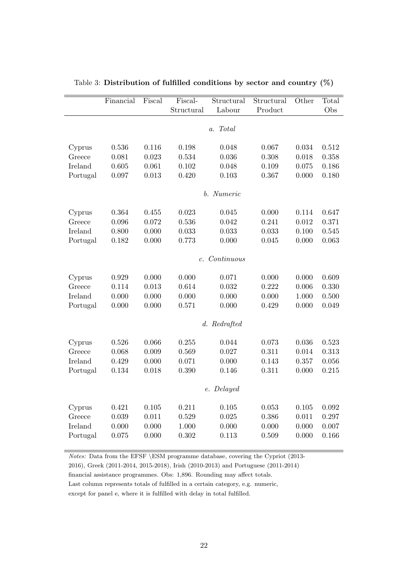<span id="page-22-0"></span>

|          | Financial | Fiscal | Fiscal-<br>Structural | Structural<br>Labour | Structural<br>Product | Other | Total<br>Obs |
|----------|-----------|--------|-----------------------|----------------------|-----------------------|-------|--------------|
|          |           |        |                       | a. Total             |                       |       |              |
|          |           |        |                       |                      |                       |       |              |
| Cyprus   | 0.536     | 0.116  | 0.198                 | 0.048                | 0.067                 | 0.034 | 0.512        |
| Greece   | 0.081     | 0.023  | 0.534                 | 0.036                | 0.308                 | 0.018 | 0.358        |
| Ireland  | 0.605     | 0.061  | 0.102                 | 0.048                | 0.109                 | 0.075 | 0.186        |
| Portugal | 0.097     | 0.013  | 0.420                 | 0.103                | 0.367                 | 0.000 | 0.180        |
|          |           |        |                       | b. Numeric           |                       |       |              |
| Cyprus   | 0.364     | 0.455  | 0.023                 | 0.045                | 0.000                 | 0.114 | 0.647        |
| Greece   | 0.096     | 0.072  | 0.536                 | 0.042                | 0.241                 | 0.012 | 0.371        |
| Ireland  | 0.800     | 0.000  | 0.033                 | 0.033                | 0.033                 | 0.100 | 0.545        |
| Portugal | 0.182     | 0.000  | 0.773                 | 0.000                | 0.045                 | 0.000 | 0.063        |
|          |           |        |                       |                      |                       |       |              |
|          |           |        |                       | c. Continuous        |                       |       |              |
| Cyprus   | 0.929     | 0.000  | 0.000                 | 0.071                | 0.000                 | 0.000 | 0.609        |
| Greece   | 0.114     | 0.013  | 0.614                 | 0.032                | 0.222                 | 0.006 | 0.330        |
| Ireland  | 0.000     | 0.000  | 0.000                 | 0.000                | 0.000                 | 1.000 | 0.500        |
| Portugal | 0.000     | 0.000  | 0.571                 | 0.000                | 0.429                 | 0.000 | 0.049        |
|          |           |        |                       | d. Redrafted         |                       |       |              |
|          |           |        |                       |                      |                       |       |              |
| Cyprus   | 0.526     | 0.066  | 0.255                 | 0.044                | 0.073                 | 0.036 | 0.523        |
| Greece   | 0.068     | 0.009  | 0.569                 | 0.027                | 0.311                 | 0.014 | 0.313        |
| Ireland  | 0.429     | 0.000  | 0.071                 | 0.000                | 0.143                 | 0.357 | 0.056        |
| Portugal | 0.134     | 0.018  | 0.390                 | 0.146                | 0.311                 | 0.000 | 0.215        |
|          |           |        |                       | e. Delayed           |                       |       |              |
| Cyprus   | 0.421     | 0.105  | 0.211                 | 0.105                | 0.053                 | 0.105 | 0.092        |
| Greece   | 0.039     | 0.011  | 0.529                 | 0.025                | 0.386                 | 0.011 | 0.297        |
| Ireland  | 0.000     | 0.000  | 1.000                 | 0.000                | 0.000                 | 0.000 | 0.007        |
| Portugal | 0.075     | 0.000  | 0.302                 | 0.113                | 0.509                 | 0.000 | 0.166        |
|          |           |        |                       |                      |                       |       |              |

Table 3: Distribution of fulfilled conditions by sector and country (%)

Notes: Data from the EFSF \ESM programme database, covering the Cypriot (2013-

2016), Greek (2011-2014, 2015-2018), Irish (2010-2013) and Portuguese (2011-2014)

financial assistance programmes. Obs: 1,896. Rounding may affect totals.

Last column represents totals of fulfilled in a certain category, e.g. numeric,

except for panel e, where it is fulfilled with delay in total fulfilled.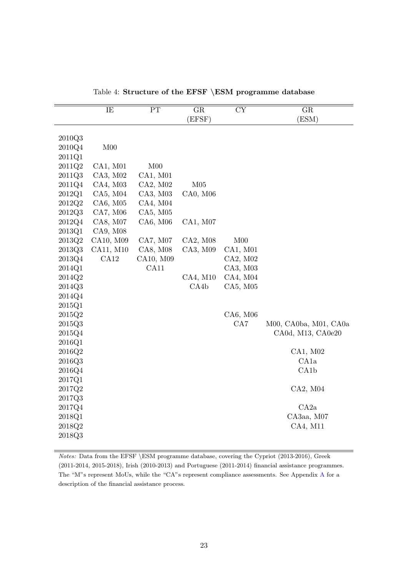<span id="page-23-0"></span>

|          | IE              | $\overline{\text{PT}}$ | $\overline{\text{GR}}$ | $\overline{\text{CY}}$ | $\overline{\text{GR}}$ |
|----------|-----------------|------------------------|------------------------|------------------------|------------------------|
|          |                 |                        | (EFSF)                 |                        | (ESM)                  |
|          |                 |                        |                        |                        |                        |
| 2010Q3   |                 |                        |                        |                        |                        |
| 2010Q4   | M <sub>00</sub> |                        |                        |                        |                        |
| 2011Q1   |                 |                        |                        |                        |                        |
| 2011Q2   | CA1, M01        | M <sub>00</sub>        |                        |                        |                        |
| 2011Q3   | CA3, M02        | CA1, M01               |                        |                        |                        |
| 2011Q4   | CA4, M03        | CA2, M02               | M05                    |                        |                        |
| 2012Q1   | CA5, M04        | CA3, M03               | CA0, M06               |                        |                        |
| 2012Q2   | CA6, M05        | CA4, M04               |                        |                        |                        |
| $2012Q3$ | CA7, M06        | CA5, M05               |                        |                        |                        |
| 2012Q4   | CA8, M07        | CA6, M06               | CA1, M07               |                        |                        |
| 2013Q1   | CA9, M08        |                        |                        |                        |                        |
| 2013Q2   | CA10, M09       | CA7, M07               | CA2, M08               | M <sub>00</sub>        |                        |
| 2013Q3   | CA11, M10       | CA8, M08               | CA3, M09               | CA1, M01               |                        |
| 2013Q4   | CA12            | CA10, M09              |                        | CA2, M02               |                        |
| 2014Q1   |                 | CA11                   |                        | CA3, M03               |                        |
| 2014Q2   |                 |                        | CA4, M10               | CA4, M04               |                        |
| 2014Q3   |                 |                        | CA4b                   | CA5, M05               |                        |
| 2014Q4   |                 |                        |                        |                        |                        |
| 2015Q1   |                 |                        |                        |                        |                        |
| 2015Q2   |                 |                        |                        | CA6, M06               |                        |
| 2015Q3   |                 |                        |                        | CA7                    | M00, CA0ba, M01, CA0a  |
| 2015Q4   |                 |                        |                        |                        | CA0d, M13, CA0e20      |
| 2016Q1   |                 |                        |                        |                        |                        |
| 2016Q2   |                 |                        |                        |                        | CA1, M02               |
| 2016Q3   |                 |                        |                        |                        | CA1a                   |
| 2016Q4   |                 |                        |                        |                        | CA1b                   |
| 2017Q1   |                 |                        |                        |                        |                        |
| 2017Q2   |                 |                        |                        |                        | CA2, M04               |
| 2017Q3   |                 |                        |                        |                        |                        |
| 2017Q4   |                 |                        |                        |                        | CA2a                   |
| 2018Q1   |                 |                        |                        |                        | CA3aa, M07             |
| 2018Q2   |                 |                        |                        |                        | CA4, M11               |
| 2018Q3   |                 |                        |                        |                        |                        |

Table 4: Structure of the EFSF \ESM programme database

Notes: Data from the EFSF \ESM programme database, covering the Cypriot (2013-2016), Greek (2011-2014, 2015-2018), Irish (2010-2013) and Portuguese (2011-2014) financial assistance programmes. The "M"s represent MoUs, while the "CA"s represent compliance assessments. See Appendix [A](#page-27-0) for a description of the financial assistance process.

Ī.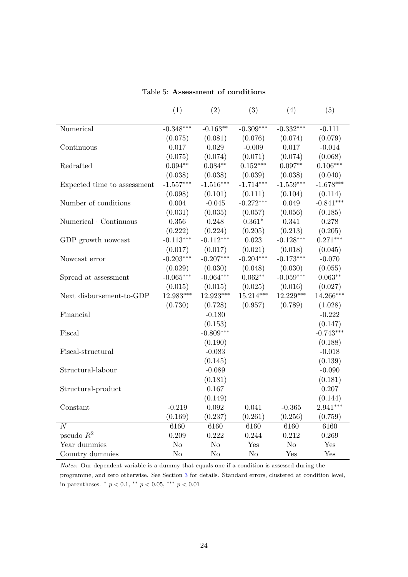<span id="page-24-0"></span>

|                             | (1)         | (2)            | (3)         | (4)            | (5)         |
|-----------------------------|-------------|----------------|-------------|----------------|-------------|
| Numerical                   | $-0.348***$ | $-0.163***$    | $-0.309***$ | $-0.332***$    | $-0.111$    |
|                             | (0.075)     | (0.081)        | (0.076)     | (0.074)        | (0.079)     |
| Continuous                  | 0.017       | 0.029          | $-0.009$    | 0.017          | $-0.014$    |
|                             | (0.075)     | (0.074)        | (0.071)     | (0.074)        | (0.068)     |
| Redrafted                   | $0.094**$   | $0.084**$      | $0.152***$  | $0.097**$      | $0.106***$  |
|                             | (0.038)     | (0.038)        | (0.039)     | (0.038)        | (0.040)     |
| Expected time to assessment | $-1.557***$ | $-1.516***$    | $-1.714***$ | $-1.559***$    | $-1.678***$ |
|                             | (0.098)     | (0.101)        | (0.111)     | (0.104)        | (0.114)     |
| Number of conditions        | 0.004       | $-0.045$       | $-0.272***$ | 0.049          | $-0.841***$ |
|                             | (0.031)     | (0.035)        | (0.057)     | (0.056)        | (0.185)     |
| Numerical Continuous        | 0.356       | 0.248          | $0.361*$    | 0.341          | 0.278       |
|                             | (0.222)     | (0.224)        | (0.205)     | (0.213)        | (0.205)     |
| GDP growth nowcast          | $-0.113***$ | $-0.112***$    | 0.023       | $-0.128***$    | $0.271***$  |
|                             | (0.017)     | (0.017)        | (0.021)     | (0.018)        | (0.045)     |
| Nowcast error               | $-0.203***$ | $-0.207***$    | $-0.204***$ | $-0.173***$    | $-0.070$    |
|                             | (0.029)     | (0.030)        | (0.048)     | (0.030)        | (0.055)     |
| Spread at assessment        | $-0.065***$ | $-0.064***$    | $0.062**$   | $-0.059***$    | $0.063**$   |
|                             | (0.015)     | (0.015)        | (0.025)     | (0.016)        | (0.027)     |
| Next disbursement-to-GDP    | 12.983***   | 12.923***      | $15.214***$ | $12.229***$    | 14.266***   |
|                             | (0.730)     | (0.728)        | (0.957)     | (0.789)        | (1.028)     |
| Financial                   |             | $-0.180$       |             |                | $-0.222$    |
|                             |             | (0.153)        |             |                | (0.147)     |
| Fiscal                      |             | $-0.809***$    |             |                | $-0.743***$ |
|                             |             | (0.190)        |             |                | (0.188)     |
| Fiscal-structural           |             | $-0.083$       |             |                | $-0.018$    |
|                             |             | (0.145)        |             |                | (0.139)     |
| Structural-labour           |             | $-0.089$       |             |                | $-0.090$    |
|                             |             | (0.181)        |             |                | (0.181)     |
| Structural-product          |             | 0.167          |             |                | 0.207       |
|                             |             | (0.149)        |             |                | (0.144)     |
| Constant                    | $-0.219$    | 0.092          | 0.041       | $-0.365$       | $2.941***$  |
|                             | (0.169)     | (0.237)        | (0.261)     | (0.256)        | (0.759)     |
| $\boldsymbol{N}$            | 6160        | 6160           | 6160        | 6160           | 6160        |
| pseudo $R^2$                | 0.209       | 0.222          | 0.244       | 0.212          | 0.269       |
| Year dummies                | No          | N <sub>o</sub> | Yes         | N <sub>o</sub> | Yes         |
| Country dummies             | No          | No             | $\rm No$    | Yes            | Yes         |

Table 5: Assessment of conditions

Notes: Our dependent variable is a dummy that equals one if a condition is assessed during the programme, and zero otherwise. See Section [3](#page-7-0) for details. Standard errors, clustered at condition level, in parentheses.  $p < 0.1$ ,  $p < 0.05$ ,  $p = 0.01$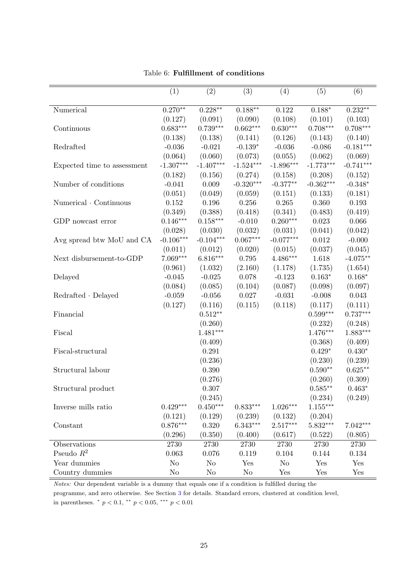<span id="page-25-0"></span>

|                             | (1)         | (2)         | (3)         | (4)         | (5)         | (6)         |
|-----------------------------|-------------|-------------|-------------|-------------|-------------|-------------|
|                             |             |             |             |             |             |             |
| Numerical                   | $0.270**$   | $0.228**$   | $0.188**$   | 0.122       | $0.188*$    | $0.232**$   |
|                             | (0.127)     | (0.091)     | (0.090)     | (0.108)     | (0.101)     | (0.103)     |
| Continuous                  | $0.683***$  | $0.739***$  | $0.662***$  | $0.630***$  | $0.708***$  | $0.708***$  |
|                             | (0.138)     | (0.138)     | (0.141)     | (0.126)     | (0.143)     | (0.140)     |
| Redrafted                   | $-0.036$    | $-0.021$    | $-0.139*$   | $-0.036$    | $-0.086$    | $-0.181***$ |
|                             | (0.064)     | (0.060)     | (0.073)     | (0.055)     | (0.062)     | (0.069)     |
| Expected time to assessment | $-1.307***$ | $-1.407***$ | $-1.524***$ | $-1.896***$ | $-1.773***$ | $-0.741***$ |
|                             | (0.182)     | (0.156)     | (0.274)     | (0.158)     | (0.208)     | (0.152)     |
| Number of conditions        | $-0.041$    | 0.009       | $-0.320***$ | $-0.377**$  | $-0.362***$ | $-0.348*$   |
|                             | (0.051)     | (0.049)     | (0.059)     | (0.151)     | (0.133)     | (0.181)     |
| Numerical Continuous        | 0.152       | 0.196       | 0.256       | 0.265       | 0.360       | 0.193       |
|                             | (0.349)     | (0.388)     | (0.418)     | (0.341)     | (0.483)     | (0.419)     |
| GDP nowcast error           | $0.146***$  | $0.158***$  | $-0.010$    | $0.260***$  | 0.023       | 0.066       |
|                             | (0.028)     | (0.030)     | (0.032)     | (0.031)     | (0.041)     | (0.042)     |
| Avg spread btw MoU and CA   | $-0.106***$ | $-0.104***$ | $0.067***$  | $-0.077***$ | $0.012\,$   | $-0.000$    |
|                             | (0.011)     | (0.012)     | (0.020)     | (0.015)     | (0.037)     | (0.045)     |
| Next disbursement-to-GDP    | 7.069***    | $6.816***$  | 0.795       | $4.486***$  | 1.618       | $-4.075**$  |
|                             | (0.961)     | (1.032)     | (2.160)     | (1.178)     | (1.735)     | (1.654)     |
| Delayed                     | $-0.045$    | $-0.025$    | 0.078       | $-0.123$    | $0.163*$    | $0.168*$    |
|                             | (0.084)     | (0.085)     | (0.104)     | (0.087)     | (0.098)     | (0.097)     |
| $Redrafted \cdot Delayed$   | $-0.059$    | $-0.056$    | 0.027       | $-0.031$    | $-0.008$    | 0.043       |
|                             | (0.127)     | (0.116)     | (0.115)     | (0.118)     | (0.117)     | (0.111)     |
| Financial                   |             | $0.512**$   |             |             | $0.599***$  | $0.737***$  |
|                             |             | (0.260)     |             |             | (0.232)     | (0.248)     |
| Fiscal                      |             | $1.481***$  |             |             | $1.476***$  | $1.883***$  |
|                             |             | (0.409)     |             |             | (0.368)     | (0.409)     |
| Fiscal-structural           |             | 0.291       |             |             | $0.429*$    | $0.430*$    |
|                             |             | (0.236)     |             |             | (0.230)     | (0.239)     |
| Structural labour           |             | 0.390       |             |             | $0.590**$   | $0.625**$   |
|                             |             | (0.276)     |             |             | (0.260)     | (0.309)     |
| Structural product          |             | 0.307       |             |             | $0.585**$   | $0.463*$    |
|                             |             | (0.245)     |             |             | (0.234)     | (0.249)     |
| Inverse mills ratio         | $0.429***$  | $0.450***$  | $0.833***$  | $1.026***$  | $1.155***$  |             |
|                             | (0.121)     | (0.129)     | (0.239)     | (0.132)     | (0.204)     |             |
| Constant                    | $0.876***$  | 0.320       | $6.343***$  | $2.517***$  | $5.832***$  | $7.042***$  |
|                             | (0.296)     | (0.350)     | (0.400)     | (0.617)     | (0.522)     | (0.805)     |
| Observations                | 2730        | 2730        | 2730        | 2730        | 2730        | 2730        |
| Pseudo $R^2$                | 0.063       | 0.076       | 0.119       | 0.104       | 0.144       | 0.134       |
| Year dummies                | $\rm No$    | No          | Yes         | No          | Yes         | Yes         |
| Country dummies             | No          | No          | No          | Yes         | Yes         | Yes         |

# Table 6: Fulfillment of conditions

Notes: Our dependent variable is a dummy that equals one if a condition is fulfilled during the

programme, and zero otherwise. See Section [3](#page-7-0) for details. Standard errors, clustered at condition level, in parentheses.  $p < 0.1$ ,  $p < 0.05$ ,  $p = 0.01$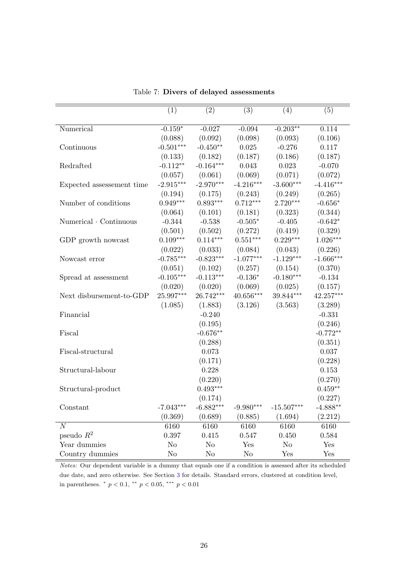<span id="page-26-0"></span>

|                           | (1)            | $\overline{(2)}$ | $\overline{(3)}$ | (4)            | (5)         |
|---------------------------|----------------|------------------|------------------|----------------|-------------|
| Numerical                 | $-0.159*$      | $-0.027$         | $-0.094$         | $-0.203**$     | 0.114       |
|                           | (0.088)        | (0.092)          | (0.098)          | (0.093)        | (0.106)     |
| Continuous                | $-0.501***$    | $-0.450**$       | 0.025            | $-0.276$       | 0.117       |
|                           | (0.133)        | (0.182)          | (0.187)          | (0.186)        | (0.187)     |
| Redrafted                 | $-0.112**$     | $-0.164***$      | 0.043            | 0.023          | $-0.070$    |
|                           | (0.057)        | (0.061)          | (0.069)          | (0.071)        | (0.072)     |
| Expected assessement time | $-2.915***$    | $-2.970***$      | $-4.216***$      | $-3.600***$    | $-4.416***$ |
|                           | (0.194)        | (0.175)          | (0.243)          | (0.249)        | (0.265)     |
| Number of conditions      | $0.949***$     | $0.893***$       | $0.712***$       | $2.720***$     | $-0.656*$   |
|                           | (0.064)        | (0.101)          | (0.181)          | (0.323)        | (0.344)     |
| Numerical · Continuous    | $-0.344$       | $-0.538$         | $-0.505*$        | $-0.405$       | $-0.642*$   |
|                           | (0.501)        | (0.502)          | (0.272)          | (0.419)        | (0.329)     |
| GDP growth nowcast        | $0.109***$     | $0.114***$       | $0.551***$       | $0.229***$     | $1.026***$  |
|                           | (0.022)        | (0.033)          | (0.084)          | (0.043)        | (0.226)     |
| Nowcast error             | $-0.785***$    | $-0.823***$      | $-1.077***$      | $-1.129***$    | $-1.666***$ |
|                           | (0.051)        | (0.102)          | (0.257)          | (0.154)        | (0.370)     |
| Spread at assessment      | $-0.105***$    | $-0.113***$      | $-0.136*$        | $-0.180***$    | $-0.134$    |
|                           | (0.020)        | (0.020)          | (0.069)          | (0.025)        | (0.157)     |
| Next disbursement-to-GDP  | 25.997***      | 26.742***        | $40.656***$      | 39.844***      | 42.257***   |
|                           | (1.085)        | (1.883)          | (3.126)          | (3.563)        | (3.289)     |
| Financial                 |                | $-0.240$         |                  |                | $-0.331$    |
|                           |                | (0.195)          |                  |                | (0.246)     |
| Fiscal                    |                | $-0.676**$       |                  |                | $-0.772**$  |
|                           |                | (0.288)          |                  |                | (0.351)     |
| Fiscal-structural         |                | 0.073            |                  |                | 0.037       |
|                           |                | (0.171)          |                  |                | (0.228)     |
| Structural-labour         |                | 0.228            |                  |                | 0.153       |
|                           |                | (0.220)          |                  |                | (0.270)     |
| Structural-product        |                | $0.493***$       |                  |                | $0.459**$   |
|                           |                | (0.174)          |                  |                | (0.227)     |
| Constant                  | $-7.043***$    | $-6.882***$      | $-9.980***$      | $-15.507***$   | $-4.888**$  |
|                           | (0.369)        | (0.689)          | (0.885)          | (1.694)        | (2.212)     |
| $\overline{N}$            | 6160           | 6160             | 6160             | 6160           | 6160        |
| pseudo $\mathbb{R}^2$     | 0.397          | 0.415            | 0.547            | 0.450          | 0.584       |
| Year dummies              | N <sub>o</sub> | No               | Yes              | N <sub>o</sub> | Yes         |
| Country dummies           | N <sub>o</sub> | No               | N <sub>o</sub>   | Yes            | Yes         |
|                           |                |                  |                  |                |             |

Table 7: Divers of delayed assessments

Notes: Our dependent variable is a dummy that equals one if a condition is assessed after its scheduled due date, and zero otherwise. See Section [3](#page-7-0) for details. Standard errors, clustered at condition level, in parentheses.  $*$   $p < 0.1$ ,  $*$   $p < 0.05$ ,  $*$   $*$   $p < 0.01$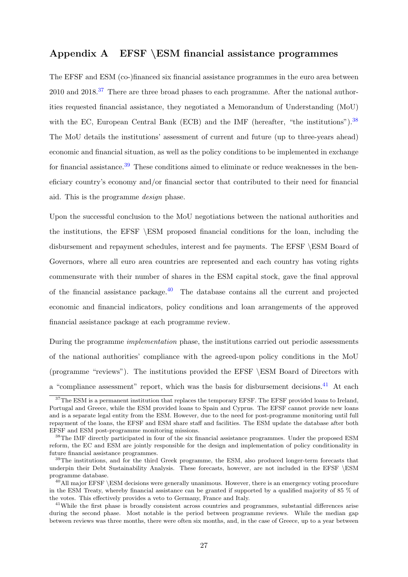# <span id="page-27-0"></span>Appendix A EFSF \ESM financial assistance programmes

The EFSF and ESM (co-)financed six financial assistance programmes in the euro area between 2010 and 2018.<sup>[37](#page-0-0)</sup> There are three broad phases to each programme. After the national authorities requested financial assistance, they negotiated a Memorandum of Understanding (MoU) with the EC, European Central Bank (ECB) and the IMF (hereafter, "the institutions").  $38$ The MoU details the institutions' assessment of current and future (up to three-years ahead) economic and financial situation, as well as the policy conditions to be implemented in exchange for financial assistance.<sup>[39](#page-0-0)</sup> These conditions aimed to eliminate or reduce weaknesses in the beneficiary country's economy and/or financial sector that contributed to their need for financial aid. This is the programme design phase.

Upon the successful conclusion to the MoU negotiations between the national authorities and the institutions, the EFSF \ESM proposed financial conditions for the loan, including the disbursement and repayment schedules, interest and fee payments. The EFSF \ESM Board of Governors, where all euro area countries are represented and each country has voting rights commensurate with their number of shares in the ESM capital stock, gave the final approval of the financial assistance package. $40$  The database contains all the current and projected economic and financial indicators, policy conditions and loan arrangements of the approved financial assistance package at each programme review.

During the programme implementation phase, the institutions carried out periodic assessments of the national authorities' compliance with the agreed-upon policy conditions in the MoU (programme "reviews"). The institutions provided the EFSF \ESM Board of Directors with a "compliance assessment" report, which was the basis for disbursement decisions.<sup>[41](#page-0-0)</sup> At each

<sup>&</sup>lt;sup>37</sup>The ESM is a permanent institution that replaces the temporary EFSF. The EFSF provided loans to Ireland, Portugal and Greece, while the ESM provided loans to Spain and Cyprus. The EFSF cannot provide new loans and is a separate legal entity from the ESM. However, due to the need for post-programme monitoring until full repayment of the loans, the EFSF and ESM share staff and facilities. The ESM update the database after both EFSF and ESM post-programme monitoring missions.

<sup>&</sup>lt;sup>38</sup>The IMF directly participated in four of the six financial assistance programmes. Under the proposed ESM reform, the EC and ESM are jointly responsible for the design and implementation of policy conditionality in future financial assistance programmes.

<sup>&</sup>lt;sup>39</sup>The institutions, and for the third Greek programme, the ESM, also produced longer-term forecasts that underpin their Debt Sustainability Analysis. These forecasts, however, are not included in the EFSF \ESM programme database.

 $^{40}$ All major EFSF \ESM decisions were generally unanimous. However, there is an emergency voting procedure in the ESM Treaty, whereby financial assistance can be granted if supported by a qualified majority of 85 % of the votes. This effectively provides a veto to Germany, France and Italy.

<sup>&</sup>lt;sup>41</sup>While the first phase is broadly consistent across countries and programmes, substantial differences arise during the second phase. Most notable is the period between programme reviews. While the median gap between reviews was three months, there were often six months, and, in the case of Greece, up to a year between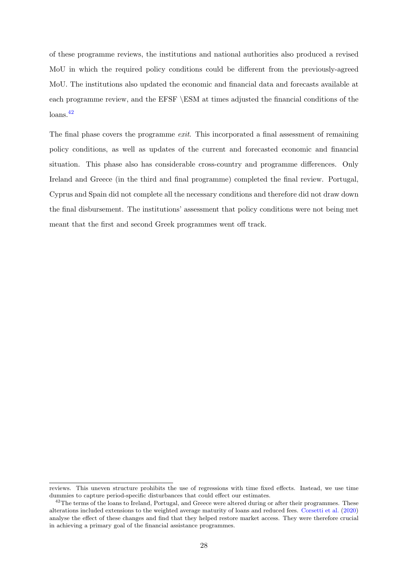of these programme reviews, the institutions and national authorities also produced a revised MoU in which the required policy conditions could be different from the previously-agreed MoU. The institutions also updated the economic and financial data and forecasts available at each programme review, and the EFSF \ESM at times adjusted the financial conditions of the loans.[42](#page-0-0)

The final phase covers the programme *exit*. This incorporated a final assessment of remaining policy conditions, as well as updates of the current and forecasted economic and financial situation. This phase also has considerable cross-country and programme differences. Only Ireland and Greece (in the third and final programme) completed the final review. Portugal, Cyprus and Spain did not complete all the necessary conditions and therefore did not draw down the final disbursement. The institutions' assessment that policy conditions were not being met meant that the first and second Greek programmes went off track.

reviews. This uneven structure prohibits the use of regressions with time fixed effects. Instead, we use time dummies to capture period-specific disturbances that could effect our estimates.

<sup>&</sup>lt;sup>42</sup>The terms of the loans to Ireland, Portugal, and Greece were altered during or after their programmes. These alterations included extensions to the weighted average maturity of loans and reduced fees. [Corsetti et al.](#page-17-8) [\(2020\)](#page-17-8) analyse the effect of these changes and find that they helped restore market access. They were therefore crucial in achieving a primary goal of the financial assistance programmes.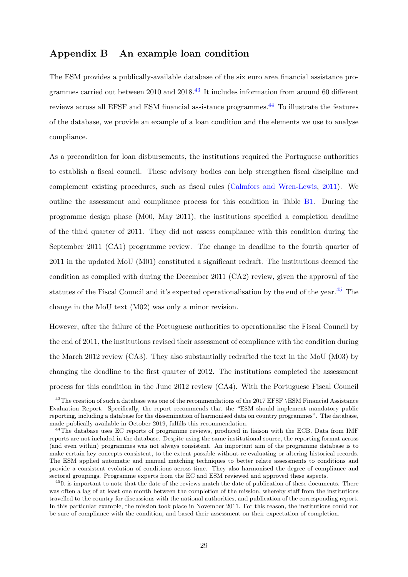# <span id="page-29-0"></span>Appendix B An example loan condition

The ESM provides a publically-available database of the six euro area financial assistance programmes carried out between 2010 and 2018.[43](#page-0-0) It includes information from around 60 different reviews across all EFSF and ESM financial assistance programmes.<sup>[44](#page-0-0)</sup> To illustrate the features of the database, we provide an example of a loan condition and the elements we use to analyse compliance.

As a precondition for loan disbursements, the institutions required the Portuguese authorities to establish a fiscal council. These advisory bodies can help strengthen fiscal discipline and complement existing procedures, such as fiscal rules [\(Calmfors and Wren-Lewis,](#page-16-12) [2011\)](#page-16-12). We outline the assessment and compliance process for this condition in Table [B1.](#page-31-0) During the programme design phase (M00, May 2011), the institutions specified a completion deadline of the third quarter of 2011. They did not assess compliance with this condition during the September 2011 (CA1) programme review. The change in deadline to the fourth quarter of 2011 in the updated MoU (M01) constituted a significant redraft. The institutions deemed the condition as complied with during the December 2011 (CA2) review, given the approval of the statutes of the Fiscal Council and it's expected operationalisation by the end of the year.<sup>[45](#page-0-0)</sup> The change in the MoU text (M02) was only a minor revision.

However, after the failure of the Portuguese authorities to operationalise the Fiscal Council by the end of 2011, the institutions revised their assessment of compliance with the condition during the March 2012 review (CA3). They also substantially redrafted the text in the MoU (M03) by changing the deadline to the first quarter of 2012. The institutions completed the assessment process for this condition in the June 2012 review (CA4). With the Portuguese Fiscal Council

<sup>&</sup>lt;sup>43</sup>The creation of such a database was one of the recommendations of the 2017 EFSF \ESM Financial Assistance Evaluation Report. Specifically, the report recommends that the "ESM should implement mandatory public reporting, including a database for the dissemination of harmonised data on country programmes". The database, made publically available in October 2019, fulfills this recommendation.

<sup>&</sup>lt;sup>44</sup>The database uses EC reports of programme reviews, produced in liaison with the ECB. Data from IMF reports are not included in the database. Despite using the same institutional source, the reporting format across (and even within) programmes was not always consistent. An important aim of the programme database is to make certain key concepts consistent, to the extent possible without re-evaluating or altering historical records. The ESM applied automatic and manual matching techniques to better relate assessments to conditions and provide a consistent evolution of conditions across time. They also harmonised the degree of compliance and sectoral groupings. Programme experts from the EC and ESM reviewed and approved these aspects.

<sup>&</sup>lt;sup>45</sup>It is important to note that the date of the reviews match the date of publication of these documents. There was often a lag of at least one month between the completion of the mission, whereby staff from the institutions travelled to the country for discussions with the national authorities, and publication of the corresponding report. In this particular example, the mission took place in November 2011. For this reason, the institutions could not be sure of compliance with the condition, and based their assessment on their expectation of completion.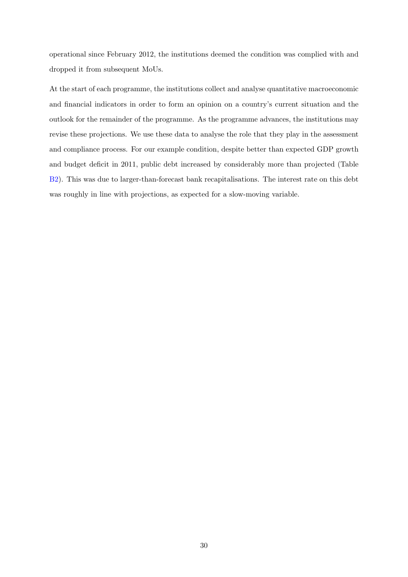operational since February 2012, the institutions deemed the condition was complied with and dropped it from subsequent MoUs.

At the start of each programme, the institutions collect and analyse quantitative macroeconomic and financial indicators in order to form an opinion on a country's current situation and the outlook for the remainder of the programme. As the programme advances, the institutions may revise these projections. We use these data to analyse the role that they play in the assessment and compliance process. For our example condition, despite better than expected GDP growth and budget deficit in 2011, public debt increased by considerably more than projected (Table [B2\)](#page-32-0). This was due to larger-than-forecast bank recapitalisations. The interest rate on this debt was roughly in line with projections, as expected for a slow-moving variable.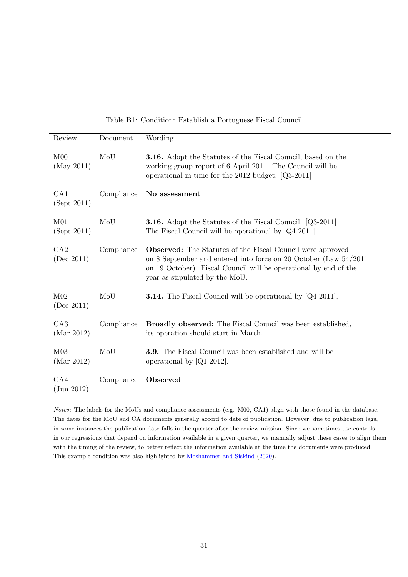|  |  |  | Table B1: Condition: Establish a Portuguese Fiscal Council |  |  |
|--|--|--|------------------------------------------------------------|--|--|
|--|--|--|------------------------------------------------------------|--|--|

<span id="page-31-0"></span>

| Review                                    | Document   | Wording                                                                                                                                                                                                                                     |
|-------------------------------------------|------------|---------------------------------------------------------------------------------------------------------------------------------------------------------------------------------------------------------------------------------------------|
| M <sub>00</sub><br>(May 2011)             | MoU        | <b>3.16.</b> Adopt the Statutes of the Fiscal Council, based on the<br>working group report of 6 April 2011. The Council will be<br>operational in time for the 2012 budget. $[Q3-2011]$                                                    |
| CA1<br>(Sept 2011)                        | Compliance | No assessment                                                                                                                                                                                                                               |
| M <sub>01</sub><br>(Sept 2011)            | MoU        | <b>3.16.</b> Adopt the Statutes of the Fiscal Council. [Q3-2011]<br>The Fiscal Council will be operational by $[Q4-2011]$ .                                                                                                                 |
| CA2<br>(Dec~2011)                         | Compliance | <b>Observed:</b> The Statutes of the Fiscal Council were approved<br>on 8 September and entered into force on 20 October (Law 54/2011<br>on 19 October). Fiscal Council will be operational by end of the<br>year as stipulated by the MoU. |
| M <sub>02</sub><br>(Dec~2011)             | MoU        | <b>3.14.</b> The Fiscal Council will be operational by $[Q4-2011]$ .                                                                                                                                                                        |
| CA3<br>(Mar 2012)                         | Compliance | <b>Broadly observed:</b> The Fiscal Council was been established,<br>its operation should start in March.                                                                                                                                   |
| M <sub>03</sub><br>(Mar 2012)             | MoU        | <b>3.9.</b> The Fiscal Council was been established and will be<br>operational by $[Q1-2012]$ .                                                                                                                                             |
| CA4<br>$\left( \mathrm{Jun}\ 2012\right)$ | Compliance | Observed                                                                                                                                                                                                                                    |

Notes: The labels for the MoUs and compliance assessments (e.g. M00, CA1) align with those found in the database. The dates for the MoU and CA documents generally accord to date of publication. However, due to publication lags, in some instances the publication date falls in the quarter after the review mission. Since we sometimes use controls in our regressions that depend on information available in a given quarter, we manually adjust these cases to align them with the timing of the review, to better reflect the information available at the time the documents were produced. This example condition was also highlighted by [Moshammer and Siskind](#page-18-13) [\(2020\)](#page-18-13).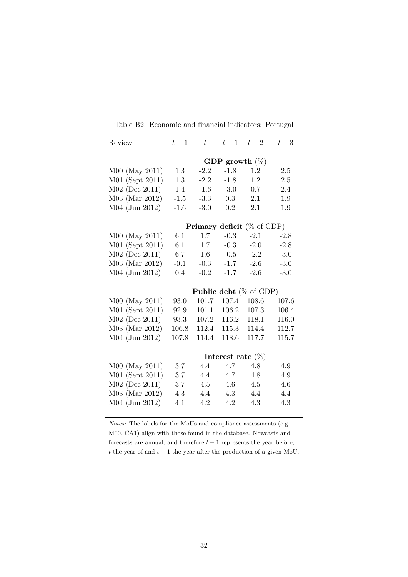<span id="page-32-0"></span>

| Review           | $t-1$  | $\bar{t}$ | $t+1$                | $t+2$                             | $t+3$  |
|------------------|--------|-----------|----------------------|-----------------------------------|--------|
|                  |        |           |                      |                                   |        |
|                  |        |           | GDP growth $(\%)$    |                                   |        |
| M00 (May 2011)   | 1.3    | $-2.2$    | $-1.8$               | 1.2                               | 2.5    |
| M01 (Sept 2011)  | 1.3    | $-2.2$    | $-1.8$               | 1.2                               | 2.5    |
| M02 (Dec 2011)   | 1.4    | $-1.6$    | $-3.0$               | 0.7                               | 2.4    |
| M03 (Mar 2012)   | $-1.5$ | $-3.3$    | 0.3                  | 2.1                               | 1.9    |
| M04 (Jun 2012)   | $-1.6$ | $-3.0$    | $0.2\,$              | 2.1                               | 1.9    |
|                  |        |           |                      | <b>Primary deficit</b> (% of GDP) |        |
| $M00$ (May 2011) | 6.1    | 1.7       | $-0.3$               | $-2.1$                            | $-2.8$ |
| M01 (Sept 2011)  | 6.1    | 1.7       | $-0.3$               | $-2.0$                            | $-2.8$ |
| M02 (Dec 2011)   | 6.7    | $1.6\,$   | $-0.5$               | $-2.2$                            | $-3.0$ |
| M03 (Mar 2012)   | $-0.1$ | $-0.3$    | $-1.7$               | $-2.6$                            | $-3.0$ |
| M04 (Jun 2012)   | 0.4    | $-0.2$    | $-1.7$               | $-2.6$                            | $-3.0$ |
|                  |        |           |                      |                                   |        |
|                  |        |           |                      | <b>Public debt</b> $(\%$ of GDP)  |        |
| $M00$ (May 2011) | 93.0   | 101.7     | 107.4                | 108.6                             | 107.6  |
| M01 (Sept 2011)  | 92.9   | 101.1     | 106.2                | 107.3                             | 106.4  |
| M02 (Dec 2011)   | 93.3   | 107.2     | 116.2                | 118.1                             | 116.0  |
| M03 (Mar 2012)   | 106.8  | 112.4     | 115.3                | 114.4                             | 112.7  |
| M04 (Jun 2012)   | 107.8  | 114.4     | 118.6                | 117.7                             | 115.7  |
|                  |        |           |                      |                                   |        |
|                  |        |           | Interest rate $(\%)$ |                                   |        |
| M00 (May 2011)   | 3.7    | 4.4       | 4.7                  | 4.8                               | 4.9    |
| M01 (Sept 2011)  | 3.7    | 4.4       | 4.7                  | 4.8                               | 4.9    |
| $M02$ (Dec 2011) | 3.7    | 4.5       | 4.6                  | 4.5                               | 4.6    |
| M03 (Mar 2012)   | 4.3    | 4.4       | 4.3                  | 4.4                               | 4.4    |
| M04 (Jun 2012)   | 4.1    | 4.2       | 4.2                  | 4.3                               | 4.3    |
|                  |        |           |                      |                                   |        |

Table B2: Economic and financial indicators: Portugal

Notes: The labels for the MoUs and compliance assessments (e.g. M00, CA1) align with those found in the database. Nowcasts and forecasts are annual, and therefore  $t - 1$  represents the year before, t the year of and  $t + 1$  the year after the production of a given MoU.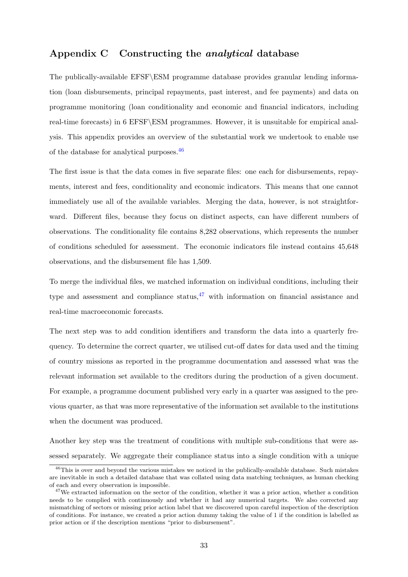# <span id="page-33-0"></span>Appendix C Constructing the analytical database

The publically-available EFSF\ESM programme database provides granular lending information (loan disbursements, principal repayments, past interest, and fee payments) and data on programme monitoring (loan conditionality and economic and financial indicators, including real-time forecasts) in 6 EFSF\ESM programmes. However, it is unsuitable for empirical analysis. This appendix provides an overview of the substantial work we undertook to enable use of the database for analytical purposes.[46](#page-0-0)

The first issue is that the data comes in five separate files: one each for disbursements, repayments, interest and fees, conditionality and economic indicators. This means that one cannot immediately use all of the available variables. Merging the data, however, is not straightforward. Different files, because they focus on distinct aspects, can have different numbers of observations. The conditionality file contains 8,282 observations, which represents the number of conditions scheduled for assessment. The economic indicators file instead contains 45,648 observations, and the disbursement file has 1,509.

To merge the individual files, we matched information on individual conditions, including their type and assessment and compliance status,  $47$  with information on financial assistance and real-time macroeconomic forecasts.

The next step was to add condition identifiers and transform the data into a quarterly frequency. To determine the correct quarter, we utilised cut-off dates for data used and the timing of country missions as reported in the programme documentation and assessed what was the relevant information set available to the creditors during the production of a given document. For example, a programme document published very early in a quarter was assigned to the previous quarter, as that was more representative of the information set available to the institutions when the document was produced.

Another key step was the treatment of conditions with multiple sub-conditions that were assessed separately. We aggregate their compliance status into a single condition with a unique

<sup>&</sup>lt;sup>46</sup>This is over and beyond the various mistakes we noticed in the publically-available database. Such mistakes are inevitable in such a detailed database that was collated using data matching techniques, as human checking of each and every observation is impossible.

<sup>&</sup>lt;sup>47</sup>We extracted information on the sector of the condition, whether it was a prior action, whether a condition needs to be complied with continuously and whether it had any numerical targets. We also corrected any mismatching of sectors or missing prior action label that we discovered upon careful inspection of the description of conditions. For instance, we created a prior action dummy taking the value of 1 if the condition is labelled as prior action or if the description mentions "prior to disbursement".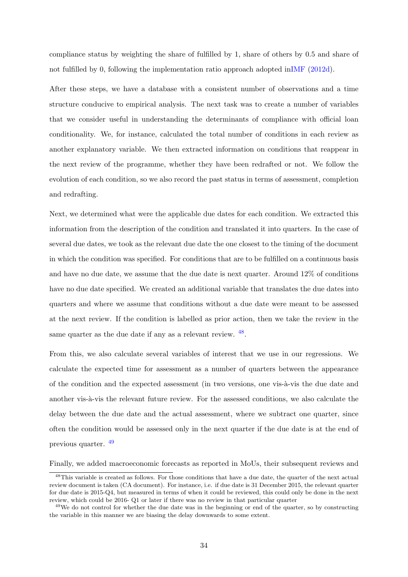compliance status by weighting the share of fulfilled by 1, share of others by 0.5 and share of not fulfilled by 0, following the implementation ratio approach adopted i[nIMF](#page-17-9) [\(2012d\)](#page-17-9).

After these steps, we have a database with a consistent number of observations and a time structure conducive to empirical analysis. The next task was to create a number of variables that we consider useful in understanding the determinants of compliance with official loan conditionality. We, for instance, calculated the total number of conditions in each review as another explanatory variable. We then extracted information on conditions that reappear in the next review of the programme, whether they have been redrafted or not. We follow the evolution of each condition, so we also record the past status in terms of assessment, completion and redrafting.

Next, we determined what were the applicable due dates for each condition. We extracted this information from the description of the condition and translated it into quarters. In the case of several due dates, we took as the relevant due date the one closest to the timing of the document in which the condition was specified. For conditions that are to be fulfilled on a continuous basis and have no due date, we assume that the due date is next quarter. Around 12% of conditions have no due date specified. We created an additional variable that translates the due dates into quarters and where we assume that conditions without a due date were meant to be assessed at the next review. If the condition is labelled as prior action, then we take the review in the same quarter as the due date if any as a relevant review.  $48$ .

From this, we also calculate several variables of interest that we use in our regressions. We calculate the expected time for assessment as a number of quarters between the appearance of the condition and the expected assessment (in two versions, one vis- $\lambda$ -vis the due date and another vis- $\grave{a}$ -vis the relevant future review. For the assessed conditions, we also calculate the delay between the due date and the actual assessment, where we subtract one quarter, since often the condition would be assessed only in the next quarter if the due date is at the end of previous quarter. [49](#page-0-0)

Finally, we added macroeconomic forecasts as reported in MoUs, their subsequent reviews and

<sup>&</sup>lt;sup>48</sup>This variable is created as follows. For those conditions that have a due date, the quarter of the next actual review document is taken (CA document). For instance, i.e. if due date is 31 December 2015, the relevant quarter for due date is 2015-Q4, but measured in terms of when it could be reviewed, this could only be done in the next review, which could be 2016- Q1 or later if there was no review in that particular quarter

<sup>&</sup>lt;sup>49</sup>We do not control for whether the due date was in the beginning or end of the quarter, so by constructing the variable in this manner we are biasing the delay downwards to some extent.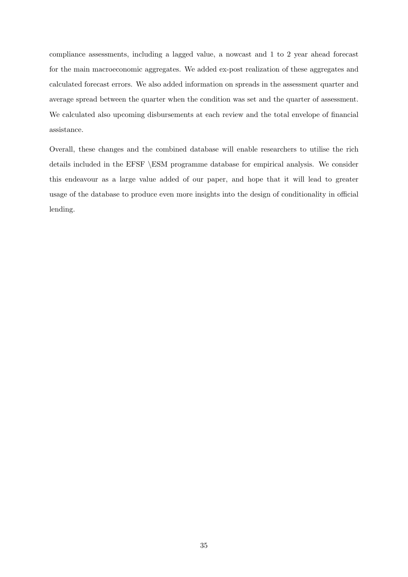compliance assessments, including a lagged value, a nowcast and 1 to 2 year ahead forecast for the main macroeconomic aggregates. We added ex-post realization of these aggregates and calculated forecast errors. We also added information on spreads in the assessment quarter and average spread between the quarter when the condition was set and the quarter of assessment. We calculated also upcoming disbursements at each review and the total envelope of financial assistance.

Overall, these changes and the combined database will enable researchers to utilise the rich details included in the EFSF \ESM programme database for empirical analysis. We consider this endeavour as a large value added of our paper, and hope that it will lead to greater usage of the database to produce even more insights into the design of conditionality in official lending.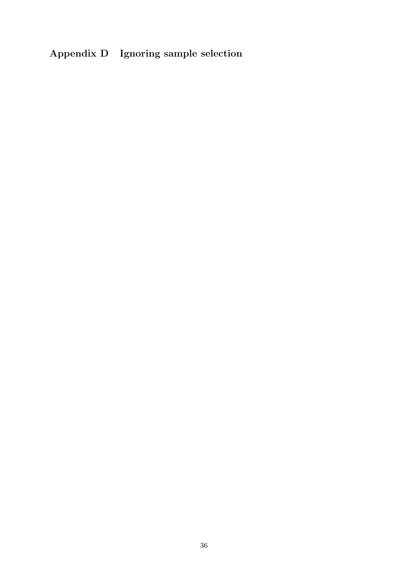# <span id="page-36-0"></span>Appendix D Ignoring sample selection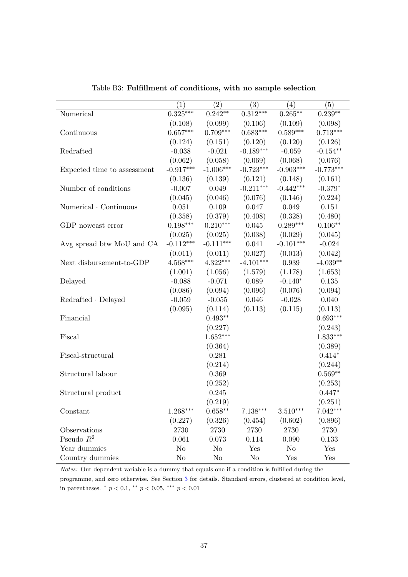|                             | $\left( 1\right)$ | $\left( 2\right)$ | (3)         | (4)             | (5)         |
|-----------------------------|-------------------|-------------------|-------------|-----------------|-------------|
| Numerical                   | $0.325***$        | $0.242**$         | $0.312***$  | $0.265***$      | $0.239**$   |
|                             | (0.108)           | (0.099)           | (0.106)     | (0.109)         | (0.098)     |
| Continuous                  | $0.657***$        | $0.709***$        | $0.683***$  | $0.589***$      | $0.713***$  |
|                             | (0.124)           | (0.151)           | (0.120)     | (0.120)         | (0.126)     |
| Redrafted                   | $-0.038$          | $-0.021$          | $-0.189***$ | $-0.059$        | $-0.154**$  |
|                             | (0.062)           | (0.058)           | (0.069)     | (0.068)         | (0.076)     |
| Expected time to assessment | $-0.917***$       | $-1.006***$       | $-0.723***$ | $-0.903***$     | $-0.773***$ |
|                             | (0.136)           | (0.139)           | (0.121)     | (0.148)         | (0.161)     |
| Number of conditions        | $-0.007$          | 0.049             | $-0.211***$ | $-0.442***$     | $-0.379*$   |
|                             | (0.045)           | (0.046)           | (0.076)     | (0.146)         | (0.224)     |
| Numerical · Continuous      | 0.051             | 0.109             | 0.047       | 0.049           | 0.151       |
|                             | (0.358)           | (0.379)           | (0.408)     | (0.328)         | (0.480)     |
| GDP nowcast error           | $0.198***$        | $0.210***$        | 0.045       | $0.289***$      | $0.106**$   |
|                             | (0.025)           | (0.025)           | (0.038)     | (0.029)         | (0.045)     |
| Avg spread btw MoU and CA   | $-0.112***$       | $-0.111***$       | 0.041       | $-0.101***$     | $-0.024$    |
|                             | (0.011)           | (0.011)           | (0.027)     | (0.013)         | (0.042)     |
| Next disbursement-to-GDP    | $4.568***$        | $4.322***$        | $-4.101***$ | 0.939           | $-4.039**$  |
|                             | (1.001)           | (1.056)           | (1.579)     | (1.178)         | (1.653)     |
| Delayed                     | $-0.088$          | $-0.071$          | 0.089       | $-0.140*$       | 0.135       |
|                             | (0.086)           | (0.094)           | (0.096)     | (0.076)         | (0.094)     |
| $Redrafted \cdot Delayed$   | $-0.059$          | $-0.055$          | 0.046       | $-0.028$        | 0.040       |
|                             | (0.095)           | (0.114)           | (0.113)     | (0.115)         | (0.113)     |
| Financial                   |                   | $0.493**$         |             |                 | $0.693***$  |
|                             |                   | (0.227)           |             |                 | (0.243)     |
| Fiscal                      |                   | $1.652***$        |             |                 | $1.833***$  |
|                             |                   | (0.364)           |             |                 | (0.389)     |
| Fiscal-structural           |                   | 0.281             |             |                 | $0.414*$    |
|                             |                   | (0.214)           |             |                 | (0.244)     |
| Structural labour           |                   | 0.369             |             |                 | $0.569**$   |
|                             |                   | (0.252)           |             |                 | (0.253)     |
| Structural product          |                   | 0.245             |             |                 | $0.447*$    |
|                             |                   | (0.219)           |             |                 | (0.251)     |
| Constant                    | $1.268***$        | $0.658**$         | $7.138***$  | $3.510^{***}\,$ | $7.042***$  |
|                             | (0.227)           | (0.326)           | (0.454)     | (0.602)         | (0.896)     |
| Observations                | 2730              | 2730              | 2730        | 2730            | 2730        |
| Pseudo $R^2$                | 0.061             | 0.073             | 0.114       | 0.090           | 0.133       |
| Year dummies                | $\rm No$          | N <sub>o</sub>    | Yes         | N <sub>o</sub>  | Yes         |
| Country dummies             | N <sub>o</sub>    | N <sub>o</sub>    | $\rm No$    | Yes             | Yes         |

Table B3: Fulfillment of conditions, with no sample selection

 $\overline{a}$ l,

> Notes: Our dependent variable is a dummy that equals one if a condition is fulfilled during the programme, and zero otherwise. See Section [3](#page-7-0) for details. Standard errors, clustered at condition level, in parentheses.  $p < 0.1$ ,  $p < 0.05$ ,  $p = 0.01$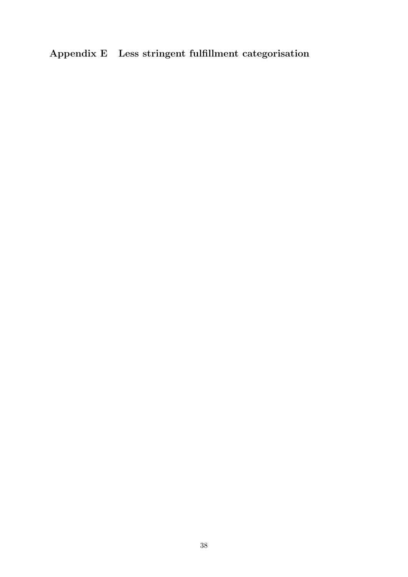# <span id="page-38-0"></span>Appendix E Less stringent fulfillment categorisation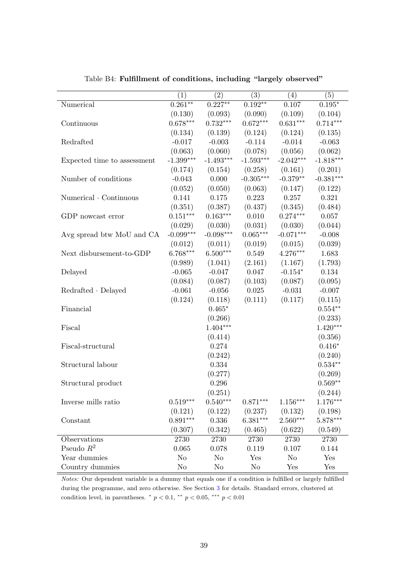|                             | (1)         | $\rm(2)$    | (3)         | (4)             | (5)         |
|-----------------------------|-------------|-------------|-------------|-----------------|-------------|
| Numerical                   | $0.261**$   | $0.227**$   | $0.192**$   | 0.107           | $0.195*$    |
|                             | (0.130)     | (0.093)     | (0.090)     | (0.109)         | (0.104)     |
| Continuous                  | $0.678***$  | $0.732***$  | $0.672***$  | $0.631***$      | $0.714***$  |
|                             | (0.134)     | (0.139)     | (0.124)     | (0.124)         | (0.135)     |
| Redrafted                   | $-0.017$    | $-0.003$    | $-0.114$    | $-0.014$        | $-0.063$    |
|                             | (0.063)     | (0.060)     | (0.078)     | (0.056)         | (0.062)     |
| Expected time to assessment | $-1.399***$ | $-1.493***$ | $-1.593***$ | $-2.042***$     | $-1.818***$ |
|                             | (0.174)     | (0.154)     | (0.258)     | (0.161)         | (0.201)     |
| Number of conditions        | $-0.043$    | 0.000       | $-0.305***$ | $-0.379**$      | $-0.381***$ |
|                             | (0.052)     | (0.050)     | (0.063)     | (0.147)         | (0.122)     |
| Numerical Continuous        | 0.141       | 0.175       | 0.223       | 0.257           | 0.321       |
|                             | (0.351)     | (0.387)     | (0.437)     | (0.345)         | (0.484)     |
| GDP nowcast error           | $0.151***$  | $0.163***$  | $0.010\,$   | $0.274***$      | 0.057       |
|                             | (0.029)     | (0.030)     | (0.031)     | (0.030)         | (0.044)     |
| Avg spread btw MoU and CA   | $-0.099***$ | $-0.098***$ | $0.065***$  | $-0.071***$     | $-0.008$    |
|                             | (0.012)     | (0.011)     | (0.019)     | (0.015)         | (0.039)     |
| Next disbursement-to-GDP    | $6.768***$  | $6.500***$  | 0.549       | $4.276***$      | 1.683       |
|                             | (0.989)     | (1.041)     | (2.161)     | (1.167)         | (1.793)     |
| Delayed                     | $-0.065$    | $-0.047$    | 0.047       | $-0.154*$       | 0.134       |
|                             | (0.084)     | (0.087)     | (0.103)     | (0.087)         | (0.095)     |
| $Reducated \cdot Delayed$   | $-0.061$    | $-0.056$    | 0.025       | $-0.031$        | $-0.007$    |
|                             | (0.124)     | (0.118)     | (0.111)     | (0.117)         | (0.115)     |
| Financial                   |             | $0.465*$    |             |                 | $0.554**$   |
|                             |             | (0.266)     |             |                 | (0.233)     |
| Fiscal                      |             | $1.404***$  |             |                 | $1.420***$  |
|                             |             | (0.414)     |             |                 | (0.356)     |
| Fiscal-structural           |             | 0.274       |             |                 | $0.416*$    |
|                             |             | (0.242)     |             |                 | (0.240)     |
| Structural labour           |             | 0.334       |             |                 | $0.534**$   |
|                             |             | (0.277)     |             |                 | (0.269)     |
| Structural product          |             | 0.296       |             |                 | $0.569**$   |
|                             |             | (0.251)     |             |                 | (0.244)     |
| Inverse mills ratio         | $0.519***$  | $0.540***$  | $0.871***$  | $1.156^{***}\,$ | 1.176***    |
|                             |             |             |             |                 |             |
|                             | (0.121)     | (0.122)     | (0.237)     | (0.132)         | (0.198)     |
| Constant                    | $0.891***$  | 0.336       | $6.381***$  | $2.560***$      | $5.878***$  |
|                             | (0.307)     | (0.342)     | (0.465)     | (0.622)         | (0.549)     |
| Observations                | 2730        | 2730        | 2730        | 2730            | 2730        |
| Pseudo $R^2$                | 0.065       | 0.078       | 0.119       | 0.107           | 0.144       |
| Year dummies                | $\rm No$    | No          | Yes         | No              | Yes         |
| Country dummies             | $\rm No$    | No          | $\rm No$    | Yes             | Yes         |

Table B4: Fulfillment of conditions, including "largely observed"

Notes: Our dependent variable is a dummy that equals one if a condition is fulfilled or largely fulfilled during the programme, and zero otherwise. See Section [3](#page-7-0) for details. Standard errors, clustered at condition level, in parentheses.  $p < 0.1$ ,  $p < 0.05$ ,  $p > 0.01$